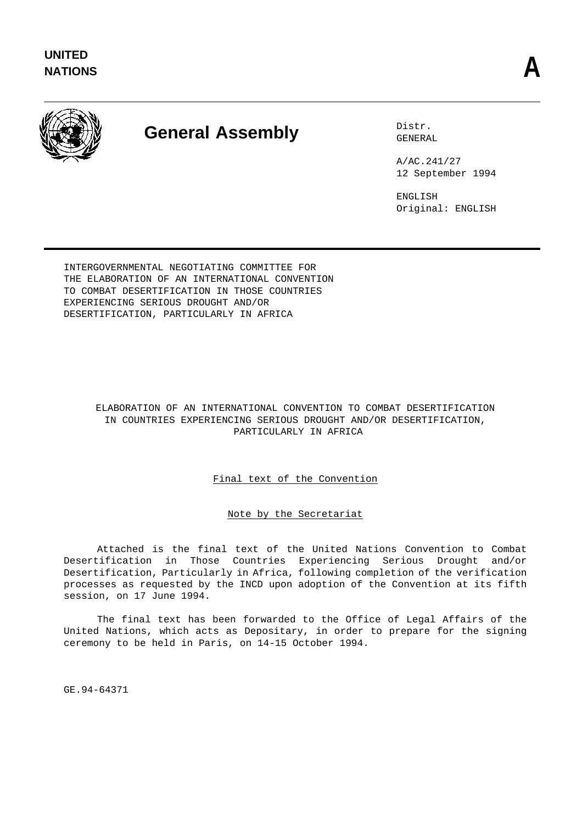

# **General Assembly** Distress Distress

GENERAL

A/AC.241/27 12 September 1994

ENGLISH Original: ENGLISH

INTERGOVERNMENTAL NEGOTIATING COMMITTEE FOR THE ELABORATION OF AN INTERNATIONAL CONVENTION TO COMBAT DESERTIFICATION IN THOSE COUNTRIES EXPERIENCING SERIOUS DROUGHT AND/OR DESERTIFICATION, PARTICULARLY IN AFRICA

# ELABORATION OF AN INTERNATIONAL CONVENTION TO COMBAT DESERTIFICATION IN COUNTRIES EXPERIENCING SERIOUS DROUGHT AND/OR DESERTIFICATION, PARTICULARLY IN AFRICA

# Final text of the Convention

# Note by the Secretariat

Attached is the final text of the United Nations Convention to Combat Desertification in Those Countries Experiencing Serious Drought and/or Desertification, Particularly in Africa, following completion of the verification processes as requested by the INCD upon adoption of the Convention at its fifth session, on 17 June 1994.

The final text has been forwarded to the Office of Legal Affairs of the United Nations, which acts as Depositary, in order to prepare for the signing ceremony to be held in Paris, on 14-15 October 1994.

GE.94-64371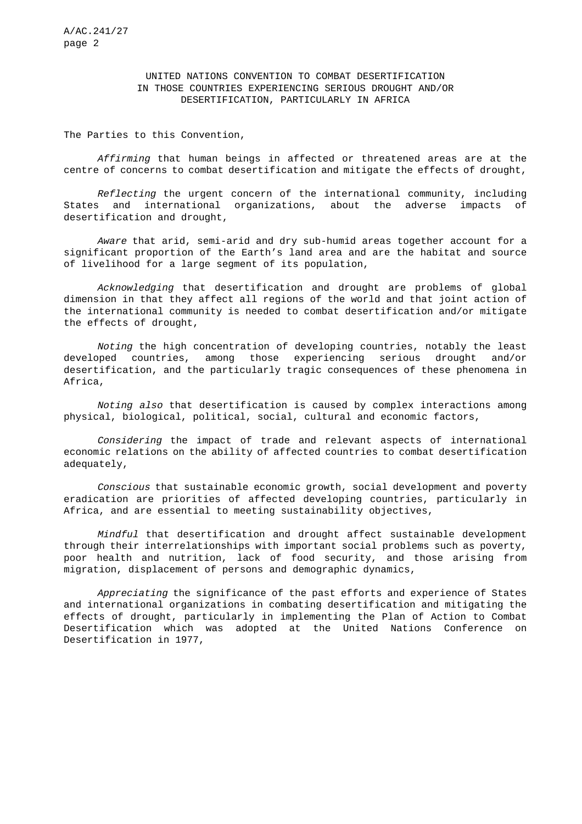# UNITED NATIONS CONVENTION TO COMBAT DESERTIFICATION IN THOSE COUNTRIES EXPERIENCING SERIOUS DROUGHT AND/OR DESERTIFICATION, PARTICULARLY IN AFRICA

The Parties to this Convention,

Affirming that human beings in affected or threatened areas are at the centre of concerns to combat desertification and mitigate the effects of drought,

Reflecting the urgent concern of the international community, including States and international organizations, about the adverse impacts of desertification and drought,

Aware that arid, semi-arid and dry sub-humid areas together account for a significant proportion of the Earth's land area and are the habitat and source of livelihood for a large segment of its population,

Acknowledging that desertification and drought are problems of global dimension in that they affect all regions of the world and that joint action of the international community is needed to combat desertification and/or mitigate the effects of drought,

Noting the high concentration of developing countries, notably the least developed countries, among those experiencing serious drought and/or desertification, and the particularly tragic consequences of these phenomena in Africa,

Noting also that desertification is caused by complex interactions among physical, biological, political, social, cultural and economic factors,

Considering the impact of trade and relevant aspects of international economic relations on the ability of affected countries to combat desertification adequately,

Conscious that sustainable economic growth, social development and poverty eradication are priorities of affected developing countries, particularly in Africa, and are essential to meeting sustainability objectives,

Mindful that desertification and drought affect sustainable development through their interrelationships with important social problems such as poverty, poor health and nutrition, lack of food security, and those arising from migration, displacement of persons and demographic dynamics,

Appreciating the significance of the past efforts and experience of States and international organizations in combating desertification and mitigating the effects of drought, particularly in implementing the Plan of Action to Combat Desertification which was adopted at the United Nations Conference on Desertification in 1977,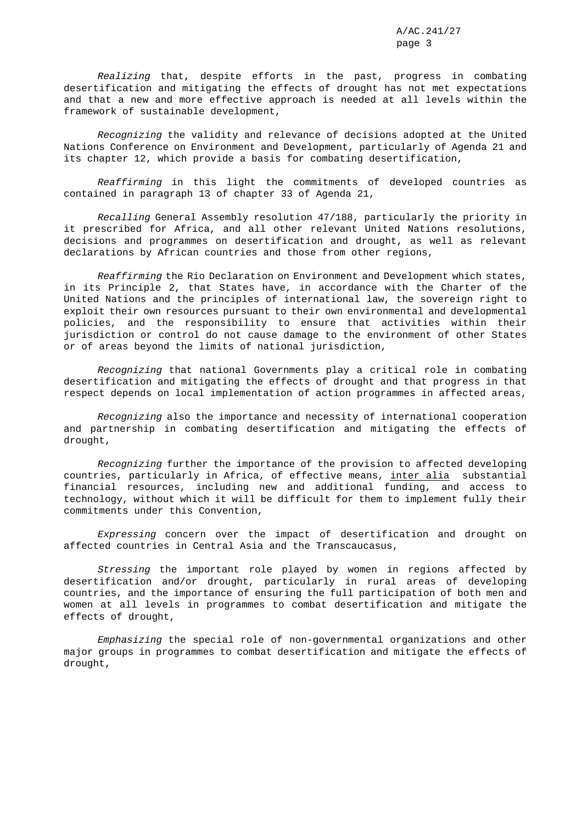Realizing that, despite efforts in the past, progress in combating desertification and mitigating the effects of drought has not met expectations and that a new and more effective approach is needed at all levels within the framework of sustainable development,

Recognizing the validity and relevance of decisions adopted at the United Nations Conference on Environment and Development, particularly of Agenda 21 and its chapter 12, which provide a basis for combating desertification,

Reaffirming in this light the commitments of developed countries as contained in paragraph 13 of chapter 33 of Agenda 21,

Recalling General Assembly resolution 47/188, particularly the priority in it prescribed for Africa, and all other relevant United Nations resolutions, decisions and programmes on desertification and drought, as well as relevant declarations by African countries and those from other regions,

Reaffirming the Rio Declaration on Environment and Development which states, in its Principle 2, that States have, in accordance with the Charter of the United Nations and the principles of international law, the sovereign right to exploit their own resources pursuant to their own environmental and developmental policies, and the responsibility to ensure that activities within their jurisdiction or control do not cause damage to the environment of other States or of areas beyond the limits of national jurisdiction,

Recognizing that national Governments play a critical role in combating desertification and mitigating the effects of drought and that progress in that respect depends on local implementation of action programmes in affected areas,

Recognizing also the importance and necessity of international cooperation and partnership in combating desertification and mitigating the effects of drought,

Recognizing further the importance of the provision to affected developing countries, particularly in Africa, of effective means, inter alia substantial financial resources, including new and additional funding, and access to technology, without which it will be difficult for them to implement fully their commitments under this Convention,

Expressing concern over the impact of desertification and drought on affected countries in Central Asia and the Transcaucasus,

Stressing the important role played by women in regions affected by desertification and/or drought, particularly in rural areas of developing countries, and the importance of ensuring the full participation of both men and women at all levels in programmes to combat desertification and mitigate the effects of drought,

Emphasizing the special role of non-governmental organizations and other major groups in programmes to combat desertification and mitigate the effects of drought,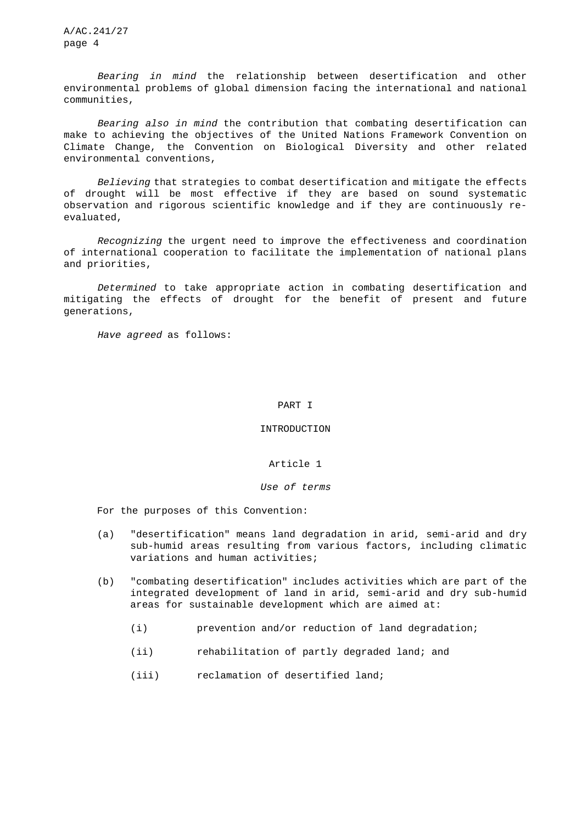Bearing in mind the relationship between desertification and other environmental problems of global dimension facing the international and national communities,

Bearing also in mind the contribution that combating desertification can make to achieving the objectives of the United Nations Framework Convention on Climate Change, the Convention on Biological Diversity and other related environmental conventions,

Believing that strategies to combat desertification and mitigate the effects of drought will be most effective if they are based on sound systematic observation and rigorous scientific knowledge and if they are continuously reevaluated,

Recognizing the urgent need to improve the effectiveness and coordination of international cooperation to facilitate the implementation of national plans and priorities,

Determined to take appropriate action in combating desertification and mitigating the effects of drought for the benefit of present and future generations,

Have agreed as follows:

#### PART I

# INTRODUCTION

# Article 1

# Use of terms

For the purposes of this Convention:

- (a) "desertification" means land degradation in arid, semi-arid and dry sub-humid areas resulting from various factors, including climatic variations and human activities;
- (b) "combating desertification" includes activities which are part of the integrated development of land in arid, semi-arid and dry sub-humid areas for sustainable development which are aimed at:
	- (i) prevention and/or reduction of land degradation;
	- (ii) rehabilitation of partly degraded land; and
	- (iii) reclamation of desertified land;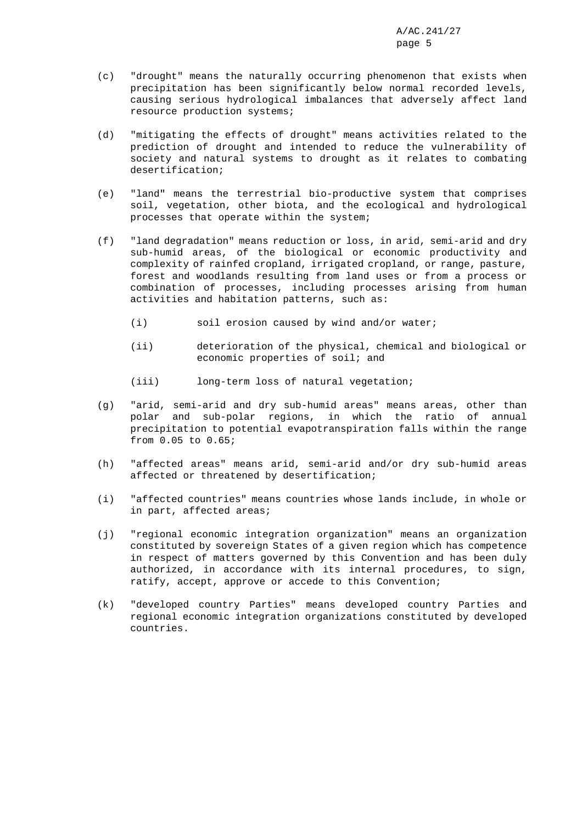- (c) "drought" means the naturally occurring phenomenon that exists when precipitation has been significantly below normal recorded levels, causing serious hydrological imbalances that adversely affect land resource production systems;
- (d) "mitigating the effects of drought" means activities related to the prediction of drought and intended to reduce the vulnerability of society and natural systems to drought as it relates to combating desertification;
- (e) "land" means the terrestrial bio-productive system that comprises soil, vegetation, other biota, and the ecological and hydrological processes that operate within the system;
- (f) "land degradation" means reduction or loss, in arid, semi-arid and dry sub-humid areas, of the biological or economic productivity and complexity of rainfed cropland, irrigated cropland, or range, pasture, forest and woodlands resulting from land uses or from a process or combination of processes, including processes arising from human activities and habitation patterns, such as:
	- (i) soil erosion caused by wind and/or water;
	- (ii) deterioration of the physical, chemical and biological or economic properties of soil; and
	- (iii) long-term loss of natural vegetation;
- (g) "arid, semi-arid and dry sub-humid areas" means areas, other than polar and sub-polar regions, in which the ratio of annual precipitation to potential evapotranspiration falls within the range from 0.05 to 0.65;
- (h) "affected areas" means arid, semi-arid and/or dry sub-humid areas affected or threatened by desertification;
- (i) "affected countries" means countries whose lands include, in whole or in part, affected areas;
- (j) "regional economic integration organization" means an organization constituted by sovereign States of a given region which has competence in respect of matters governed by this Convention and has been duly authorized, in accordance with its internal procedures, to sign, ratify, accept, approve or accede to this Convention;
- (k) "developed country Parties" means developed country Parties and regional economic integration organizations constituted by developed countries.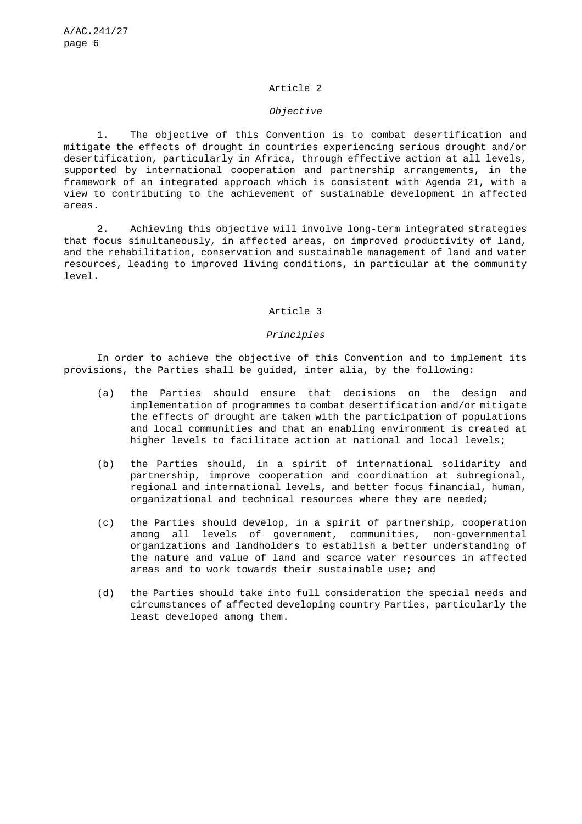# Objective

1. The objective of this Convention is to combat desertification and mitigate the effects of drought in countries experiencing serious drought and/or desertification, particularly in Africa, through effective action at all levels, supported by international cooperation and partnership arrangements, in the framework of an integrated approach which is consistent with Agenda 21, with a view to contributing to the achievement of sustainable development in affected areas.

2. Achieving this objective will involve long-term integrated strategies that focus simultaneously, in affected areas, on improved productivity of land, and the rehabilitation, conservation and sustainable management of land and water resources, leading to improved living conditions, in particular at the community level.

# Article 3

# Principles

In order to achieve the objective of this Convention and to implement its provisions, the Parties shall be guided, inter alia, by the following:

- (a) the Parties should ensure that decisions on the design and implementation of programmes to combat desertification and/or mitigate the effects of drought are taken with the participation of populations and local communities and that an enabling environment is created at higher levels to facilitate action at national and local levels;
- (b) the Parties should, in a spirit of international solidarity and partnership, improve cooperation and coordination at subregional, regional and international levels, and better focus financial, human, organizational and technical resources where they are needed;
- (c) the Parties should develop, in a spirit of partnership, cooperation among all levels of government, communities, non-governmental organizations and landholders to establish a better understanding of the nature and value of land and scarce water resources in affected areas and to work towards their sustainable use; and
- (d) the Parties should take into full consideration the special needs and circumstances of affected developing country Parties, particularly the least developed among them.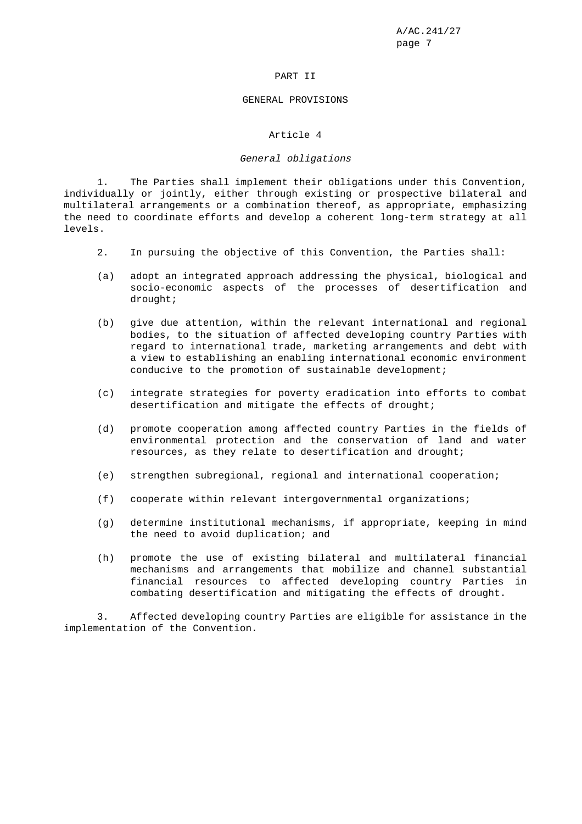### PART II

### GENERAL PROVISIONS

# Article 4

# General obligations

1. The Parties shall implement their obligations under this Convention, individually or jointly, either through existing or prospective bilateral and multilateral arrangements or a combination thereof, as appropriate, emphasizing the need to coordinate efforts and develop a coherent long-term strategy at all levels.

- 2. In pursuing the objective of this Convention, the Parties shall:
- (a) adopt an integrated approach addressing the physical, biological and socio-economic aspects of the processes of desertification and drought;
- (b) give due attention, within the relevant international and regional bodies, to the situation of affected developing country Parties with regard to international trade, marketing arrangements and debt with a view to establishing an enabling international economic environment conducive to the promotion of sustainable development;
- (c) integrate strategies for poverty eradication into efforts to combat desertification and mitigate the effects of drought;
- (d) promote cooperation among affected country Parties in the fields of environmental protection and the conservation of land and water resources, as they relate to desertification and drought;
- (e) strengthen subregional, regional and international cooperation;
- (f) cooperate within relevant intergovernmental organizations;
- (g) determine institutional mechanisms, if appropriate, keeping in mind the need to avoid duplication; and
- (h) promote the use of existing bilateral and multilateral financial mechanisms and arrangements that mobilize and channel substantial financial resources to affected developing country Parties in combating desertification and mitigating the effects of drought.

3. Affected developing country Parties are eligible for assistance in the implementation of the Convention.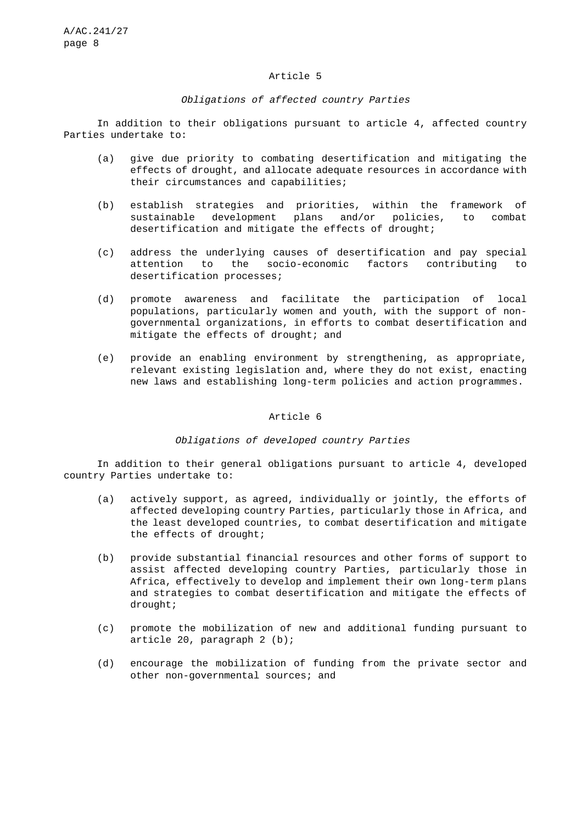### Obligations of affected country Parties

In addition to their obligations pursuant to article 4, affected country Parties undertake to:

- (a) give due priority to combating desertification and mitigating the effects of drought, and allocate adequate resources in accordance with their circumstances and capabilities;
- (b) establish strategies and priorities, within the framework of sustainable development plans and/or policies, to combat desertification and mitigate the effects of drought;
- (c) address the underlying causes of desertification and pay special attention to the socio-economic factors contributing to desertification processes;
- (d) promote awareness and facilitate the participation of local populations, particularly women and youth, with the support of nongovernmental organizations, in efforts to combat desertification and mitigate the effects of drought; and
- (e) provide an enabling environment by strengthening, as appropriate, relevant existing legislation and, where they do not exist, enacting new laws and establishing long-term policies and action programmes.

#### Article 6

#### Obligations of developed country Parties

In addition to their general obligations pursuant to article 4, developed country Parties undertake to:

- (a) actively support, as agreed, individually or jointly, the efforts of affected developing country Parties, particularly those in Africa, and the least developed countries, to combat desertification and mitigate the effects of drought;
- (b) provide substantial financial resources and other forms of support to assist affected developing country Parties, particularly those in Africa, effectively to develop and implement their own long-term plans and strategies to combat desertification and mitigate the effects of drought;
- (c) promote the mobilization of new and additional funding pursuant to article 20, paragraph 2 (b);
- (d) encourage the mobilization of funding from the private sector and other non-governmental sources; and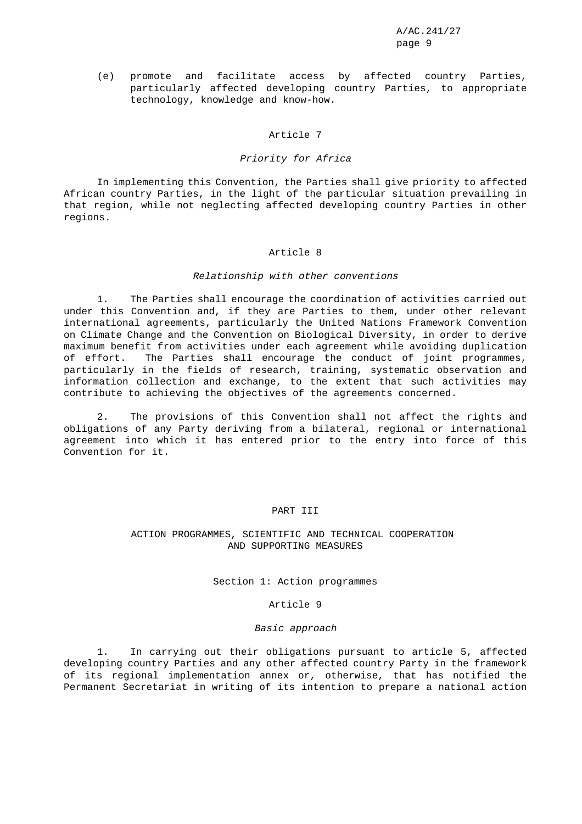(e) promote and facilitate access by affected country Parties, particularly affected developing country Parties, to appropriate technology, knowledge and know-how.

# Article 7

### Priority for Africa

In implementing this Convention, the Parties shall give priority to affected African country Parties, in the light of the particular situation prevailing in that region, while not neglecting affected developing country Parties in other regions.

#### Article 8

# Relationship with other conventions

1. The Parties shall encourage the coordination of activities carried out under this Convention and, if they are Parties to them, under other relevant international agreements, particularly the United Nations Framework Convention on Climate Change and the Convention on Biological Diversity, in order to derive maximum benefit from activities under each agreement while avoiding duplication of effort. The Parties shall encourage the conduct of joint programmes, particularly in the fields of research, training, systematic observation and information collection and exchange, to the extent that such activities may contribute to achieving the objectives of the agreements concerned.

2. The provisions of this Convention shall not affect the rights and obligations of any Party deriving from a bilateral, regional or international agreement into which it has entered prior to the entry into force of this Convention for it.

# PART III

# ACTION PROGRAMMES, SCIENTIFIC AND TECHNICAL COOPERATION AND SUPPORTING MEASURES

### Section 1: Action programmes

### Article 9

#### Basic approach

1. In carrying out their obligations pursuant to article 5, affected developing country Parties and any other affected country Party in the framework of its regional implementation annex or, otherwise, that has notified the Permanent Secretariat in writing of its intention to prepare a national action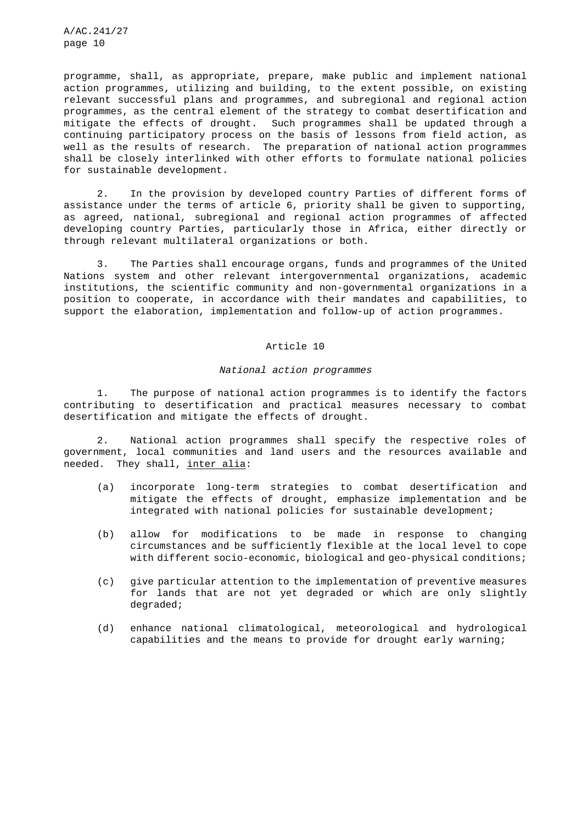programme, shall, as appropriate, prepare, make public and implement national action programmes, utilizing and building, to the extent possible, on existing relevant successful plans and programmes, and subregional and regional action programmes, as the central element of the strategy to combat desertification and mitigate the effects of drought. Such programmes shall be updated through a continuing participatory process on the basis of lessons from field action, as well as the results of research. The preparation of national action programmes shall be closely interlinked with other efforts to formulate national policies for sustainable development.

2. In the provision by developed country Parties of different forms of assistance under the terms of article 6, priority shall be given to supporting, as agreed, national, subregional and regional action programmes of affected developing country Parties, particularly those in Africa, either directly or through relevant multilateral organizations or both.

3. The Parties shall encourage organs, funds and programmes of the United Nations system and other relevant intergovernmental organizations, academic institutions, the scientific community and non-governmental organizations in a position to cooperate, in accordance with their mandates and capabilities, to support the elaboration, implementation and follow-up of action programmes.

#### Article 10

#### National action programmes

1. The purpose of national action programmes is to identify the factors contributing to desertification and practical measures necessary to combat desertification and mitigate the effects of drought.

2. National action programmes shall specify the respective roles of government, local communities and land users and the resources available and needed. They shall, inter alia:

- (a) incorporate long-term strategies to combat desertification and mitigate the effects of drought, emphasize implementation and be integrated with national policies for sustainable development;
- (b) allow for modifications to be made in response to changing circumstances and be sufficiently flexible at the local level to cope with different socio-economic, biological and geo-physical conditions;
- (c) give particular attention to the implementation of preventive measures for lands that are not yet degraded or which are only slightly degraded;
- (d) enhance national climatological, meteorological and hydrological capabilities and the means to provide for drought early warning;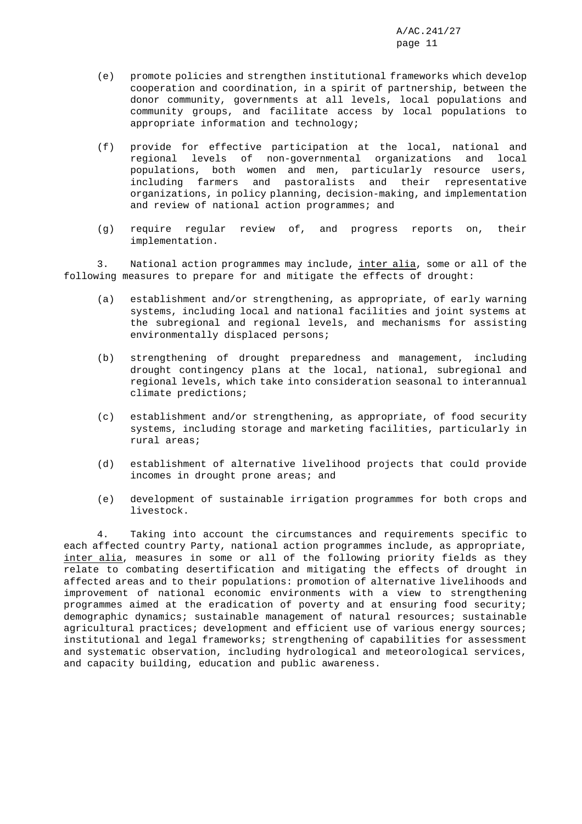- (e) promote policies and strengthen institutional frameworks which develop cooperation and coordination, in a spirit of partnership, between the donor community, governments at all levels, local populations and community groups, and facilitate access by local populations to appropriate information and technology;
- (f) provide for effective participation at the local, national and regional levels of non-governmental organizations and local populations, both women and men, particularly resource users, including farmers and pastoralists and their representative organizations, in policy planning, decision-making, and implementation and review of national action programmes; and
- (g) require regular review of, and progress reports on, their implementation.

3. National action programmes may include, inter alia, some or all of the following measures to prepare for and mitigate the effects of drought:

- (a) establishment and/or strengthening, as appropriate, of early warning systems, including local and national facilities and joint systems at the subregional and regional levels, and mechanisms for assisting environmentally displaced persons;
- (b) strengthening of drought preparedness and management, including drought contingency plans at the local, national, subregional and regional levels, which take into consideration seasonal to interannual climate predictions;
- (c) establishment and/or strengthening, as appropriate, of food security systems, including storage and marketing facilities, particularly in rural areas;
- (d) establishment of alternative livelihood projects that could provide incomes in drought prone areas; and
- (e) development of sustainable irrigation programmes for both crops and livestock.

4. Taking into account the circumstances and requirements specific to each affected country Party, national action programmes include, as appropriate, inter alia, measures in some or all of the following priority fields as they relate to combating desertification and mitigating the effects of drought in affected areas and to their populations: promotion of alternative livelihoods and improvement of national economic environments with a view to strengthening programmes aimed at the eradication of poverty and at ensuring food security; demographic dynamics; sustainable management of natural resources; sustainable agricultural practices; development and efficient use of various energy sources; institutional and legal frameworks; strengthening of capabilities for assessment and systematic observation, including hydrological and meteorological services, and capacity building, education and public awareness.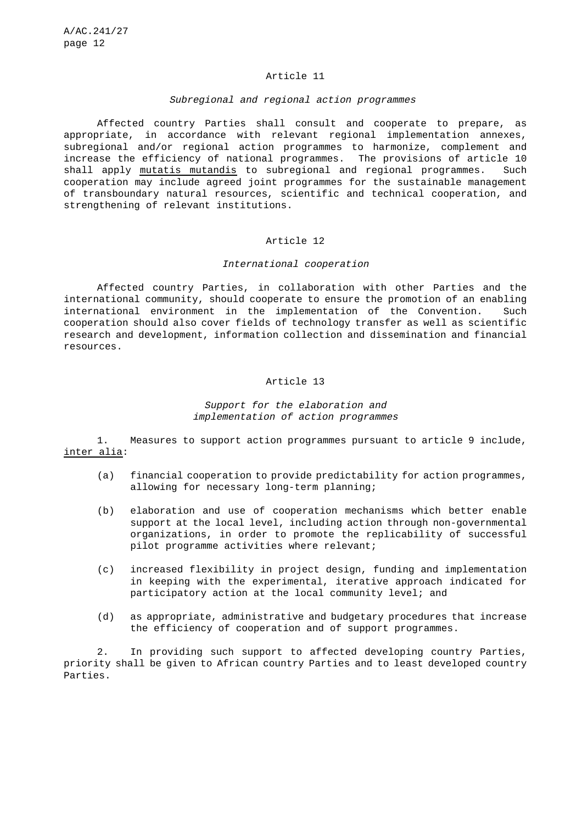### Subregional and regional action programmes

Affected country Parties shall consult and cooperate to prepare, as appropriate, in accordance with relevant regional implementation annexes, subregional and/or regional action programmes to harmonize, complement and increase the efficiency of national programmes. The provisions of article 10 shall apply mutatis mutandis to subregional and regional programmes. Such cooperation may include agreed joint programmes for the sustainable management of transboundary natural resources, scientific and technical cooperation, and strengthening of relevant institutions.

# Article 12

# International cooperation

Affected country Parties, in collaboration with other Parties and the international community, should cooperate to ensure the promotion of an enabling international environment in the implementation of the Convention. Such cooperation should also cover fields of technology transfer as well as scientific research and development, information collection and dissemination and financial resources.

# Article 13

# Support for the elaboration and implementation of action programmes

1. Measures to support action programmes pursuant to article 9 include, inter alia:

- (a) financial cooperation to provide predictability for action programmes, allowing for necessary long-term planning;
- (b) elaboration and use of cooperation mechanisms which better enable support at the local level, including action through non-governmental organizations, in order to promote the replicability of successful pilot programme activities where relevant;
- (c) increased flexibility in project design, funding and implementation in keeping with the experimental, iterative approach indicated for participatory action at the local community level; and
- (d) as appropriate, administrative and budgetary procedures that increase the efficiency of cooperation and of support programmes.

2. In providing such support to affected developing country Parties, priority shall be given to African country Parties and to least developed country Parties.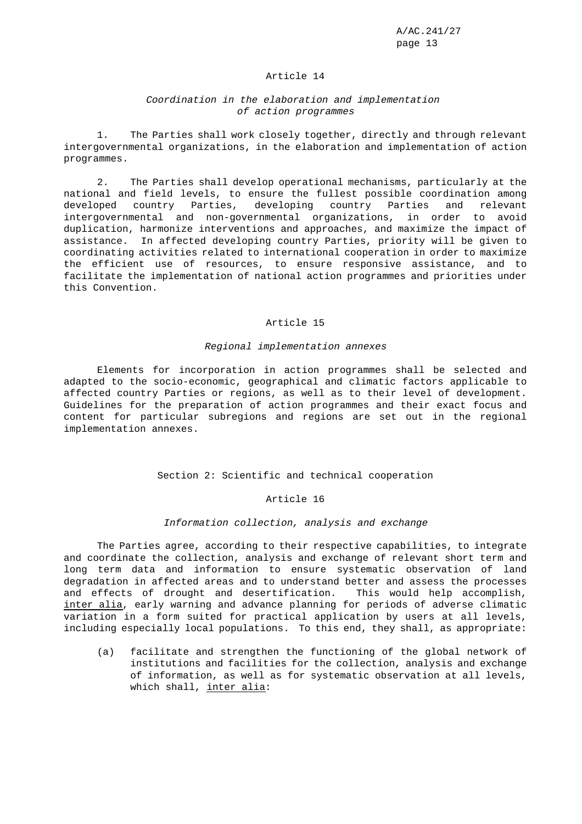# Coordination in the elaboration and implementation of action programmes

1. The Parties shall work closely together, directly and through relevant intergovernmental organizations, in the elaboration and implementation of action programmes.

2. The Parties shall develop operational mechanisms, particularly at the national and field levels, to ensure the fullest possible coordination among developed country Parties, developing country Parties and relevant intergovernmental and non-governmental organizations, in order to avoid duplication, harmonize interventions and approaches, and maximize the impact of assistance. In affected developing country Parties, priority will be given to coordinating activities related to international cooperation in order to maximize the efficient use of resources, to ensure responsive assistance, and to facilitate the implementation of national action programmes and priorities under this Convention.

# Article 15

# Regional implementation annexes

Elements for incorporation in action programmes shall be selected and adapted to the socio-economic, geographical and climatic factors applicable to affected country Parties or regions, as well as to their level of development. Guidelines for the preparation of action programmes and their exact focus and content for particular subregions and regions are set out in the regional implementation annexes.

# Section 2: Scientific and technical cooperation

### Article 16

### Information collection, analysis and exchange

The Parties agree, according to their respective capabilities, to integrate and coordinate the collection, analysis and exchange of relevant short term and long term data and information to ensure systematic observation of land degradation in affected areas and to understand better and assess the processes and effects of drought and desertification. This would help accomplish, inter alia, early warning and advance planning for periods of adverse climatic variation in a form suited for practical application by users at all levels, including especially local populations. To this end, they shall, as appropriate:

(a) facilitate and strengthen the functioning of the global network of institutions and facilities for the collection, analysis and exchange of information, as well as for systematic observation at all levels, which shall, inter alia: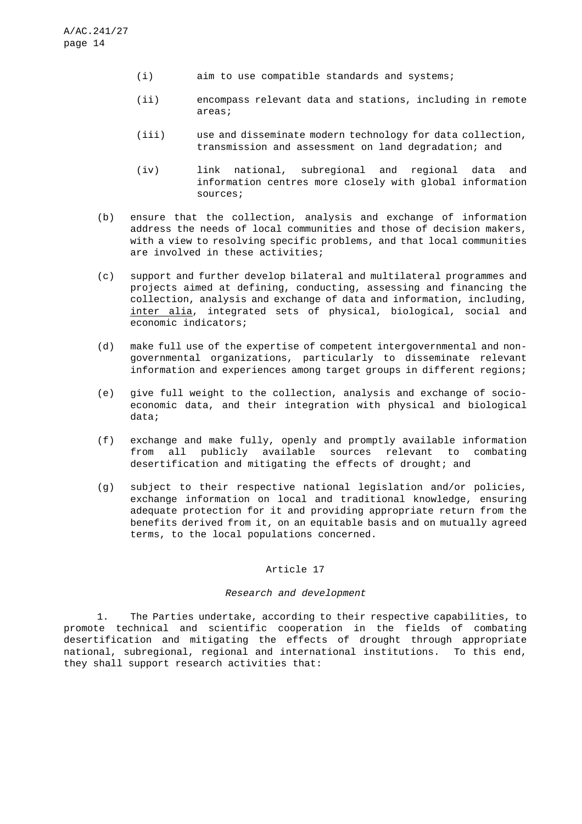- (i) aim to use compatible standards and systems;
- (ii) encompass relevant data and stations, including in remote areas;
- (iii) use and disseminate modern technology for data collection, transmission and assessment on land degradation; and
- (iv) link national, subregional and regional data and information centres more closely with global information sources;
- (b) ensure that the collection, analysis and exchange of information address the needs of local communities and those of decision makers, with a view to resolving specific problems, and that local communities are involved in these activities;
- (c) support and further develop bilateral and multilateral programmes and projects aimed at defining, conducting, assessing and financing the collection, analysis and exchange of data and information, including, inter alia, integrated sets of physical, biological, social and economic indicators;
- (d) make full use of the expertise of competent intergovernmental and nongovernmental organizations, particularly to disseminate relevant information and experiences among target groups in different regions;
- (e) give full weight to the collection, analysis and exchange of socioeconomic data, and their integration with physical and biological data;
- (f) exchange and make fully, openly and promptly available information from all publicly available sources relevant to combating desertification and mitigating the effects of drought; and
- (g) subject to their respective national legislation and/or policies, exchange information on local and traditional knowledge, ensuring adequate protection for it and providing appropriate return from the benefits derived from it, on an equitable basis and on mutually agreed terms, to the local populations concerned.

# Research and development

1. The Parties undertake, according to their respective capabilities, to promote technical and scientific cooperation in the fields of combating desertification and mitigating the effects of drought through appropriate national, subregional, regional and international institutions. To this end, they shall support research activities that: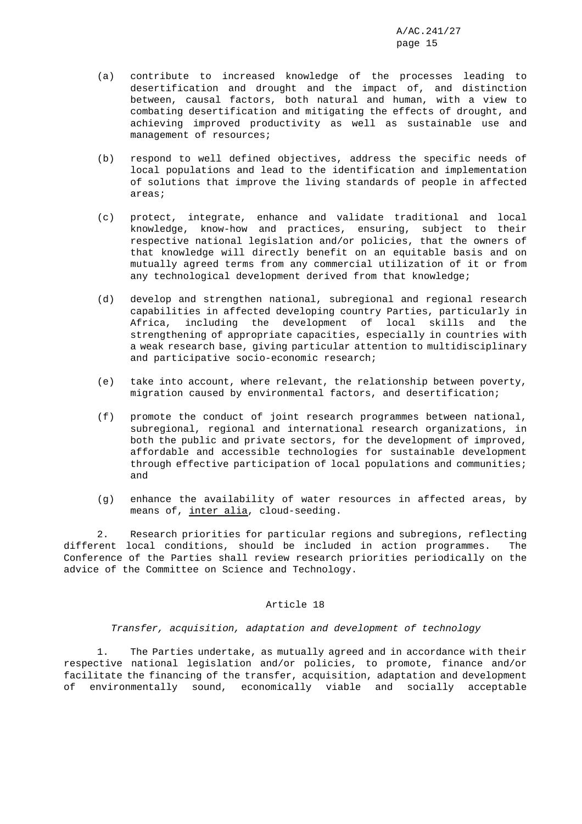- (a) contribute to increased knowledge of the processes leading to desertification and drought and the impact of, and distinction between, causal factors, both natural and human, with a view to combating desertification and mitigating the effects of drought, and achieving improved productivity as well as sustainable use and management of resources;
- (b) respond to well defined objectives, address the specific needs of local populations and lead to the identification and implementation of solutions that improve the living standards of people in affected areas;
- (c) protect, integrate, enhance and validate traditional and local knowledge, know-how and practices, ensuring, subject to their respective national legislation and/or policies, that the owners of that knowledge will directly benefit on an equitable basis and on mutually agreed terms from any commercial utilization of it or from any technological development derived from that knowledge;
- (d) develop and strengthen national, subregional and regional research capabilities in affected developing country Parties, particularly in Africa, including the development of local skills and the strengthening of appropriate capacities, especially in countries with a weak research base, giving particular attention to multidisciplinary and participative socio-economic research;
- (e) take into account, where relevant, the relationship between poverty, migration caused by environmental factors, and desertification;
- (f) promote the conduct of joint research programmes between national, subregional, regional and international research organizations, in both the public and private sectors, for the development of improved, affordable and accessible technologies for sustainable development through effective participation of local populations and communities; and
- (g) enhance the availability of water resources in affected areas, by means of, inter alia, cloud-seeding.

2. Research priorities for particular regions and subregions, reflecting different local conditions, should be included in action programmes. The Conference of the Parties shall review research priorities periodically on the advice of the Committee on Science and Technology.

# Article 18

# Transfer, acquisition, adaptation and development of technology

1. The Parties undertake, as mutually agreed and in accordance with their respective national legislation and/or policies, to promote, finance and/or facilitate the financing of the transfer, acquisition, adaptation and development of environmentally sound, economically viable and socially acceptable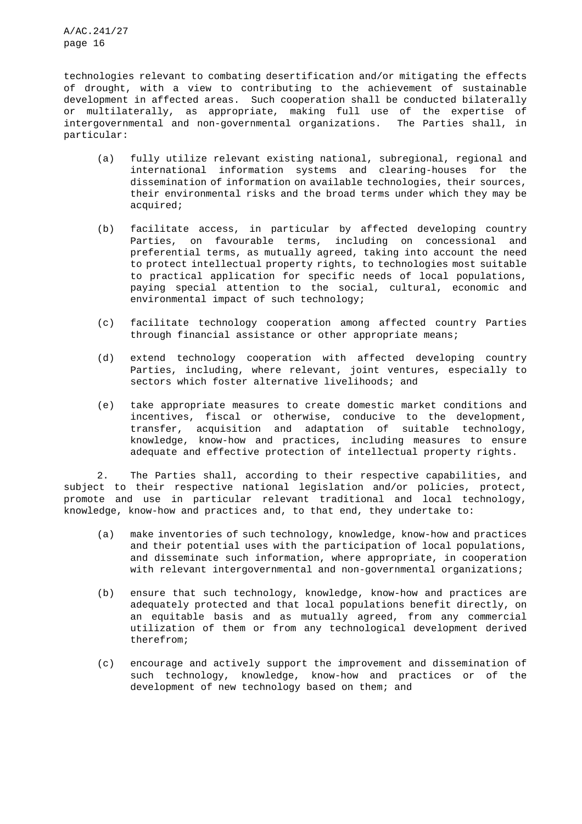technologies relevant to combating desertification and/or mitigating the effects of drought, with a view to contributing to the achievement of sustainable development in affected areas. Such cooperation shall be conducted bilaterally or multilaterally, as appropriate, making full use of the expertise of intergovernmental and non-governmental organizations. The Parties shall, in particular:

- (a) fully utilize relevant existing national, subregional, regional and international information systems and clearing-houses for the dissemination of information on available technologies, their sources, their environmental risks and the broad terms under which they may be acquired;
- (b) facilitate access, in particular by affected developing country Parties, on favourable terms, including on concessional and preferential terms, as mutually agreed, taking into account the need to protect intellectual property rights, to technologies most suitable to practical application for specific needs of local populations, paying special attention to the social, cultural, economic and environmental impact of such technology;
- (c) facilitate technology cooperation among affected country Parties through financial assistance or other appropriate means;
- (d) extend technology cooperation with affected developing country Parties, including, where relevant, joint ventures, especially to sectors which foster alternative livelihoods; and
- (e) take appropriate measures to create domestic market conditions and incentives, fiscal or otherwise, conducive to the development, transfer, acquisition and adaptation of suitable technology, knowledge, know-how and practices, including measures to ensure adequate and effective protection of intellectual property rights.

2. The Parties shall, according to their respective capabilities, and subject to their respective national legislation and/or policies, protect, promote and use in particular relevant traditional and local technology, knowledge, know-how and practices and, to that end, they undertake to:

- (a) make inventories of such technology, knowledge, know-how and practices and their potential uses with the participation of local populations, and disseminate such information, where appropriate, in cooperation with relevant intergovernmental and non-governmental organizations;
- (b) ensure that such technology, knowledge, know-how and practices are adequately protected and that local populations benefit directly, on an equitable basis and as mutually agreed, from any commercial utilization of them or from any technological development derived therefrom;
- (c) encourage and actively support the improvement and dissemination of such technology, knowledge, know-how and practices or of the development of new technology based on them; and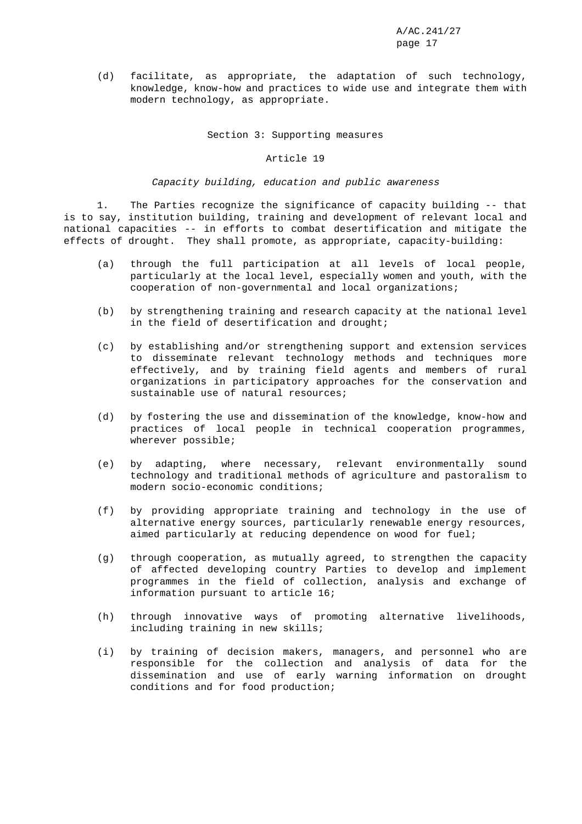(d) facilitate, as appropriate, the adaptation of such technology, knowledge, know-how and practices to wide use and integrate them with modern technology, as appropriate.

Section 3: Supporting measures

### Article 19

# Capacity building, education and public awareness

1. The Parties recognize the significance of capacity building -- that is to say, institution building, training and development of relevant local and national capacities -- in efforts to combat desertification and mitigate the effects of drought. They shall promote, as appropriate, capacity-building:

- (a) through the full participation at all levels of local people, particularly at the local level, especially women and youth, with the cooperation of non-governmental and local organizations;
- (b) by strengthening training and research capacity at the national level in the field of desertification and drought;
- (c) by establishing and/or strengthening support and extension services to disseminate relevant technology methods and techniques more effectively, and by training field agents and members of rural organizations in participatory approaches for the conservation and sustainable use of natural resources;
- (d) by fostering the use and dissemination of the knowledge, know-how and practices of local people in technical cooperation programmes, wherever possible;
- (e) by adapting, where necessary, relevant environmentally sound technology and traditional methods of agriculture and pastoralism to modern socio-economic conditions;
- (f) by providing appropriate training and technology in the use of alternative energy sources, particularly renewable energy resources, aimed particularly at reducing dependence on wood for fuel;
- (g) through cooperation, as mutually agreed, to strengthen the capacity of affected developing country Parties to develop and implement programmes in the field of collection, analysis and exchange of information pursuant to article 16;
- (h) through innovative ways of promoting alternative livelihoods, including training in new skills;
- (i) by training of decision makers, managers, and personnel who are responsible for the collection and analysis of data for the dissemination and use of early warning information on drought conditions and for food production;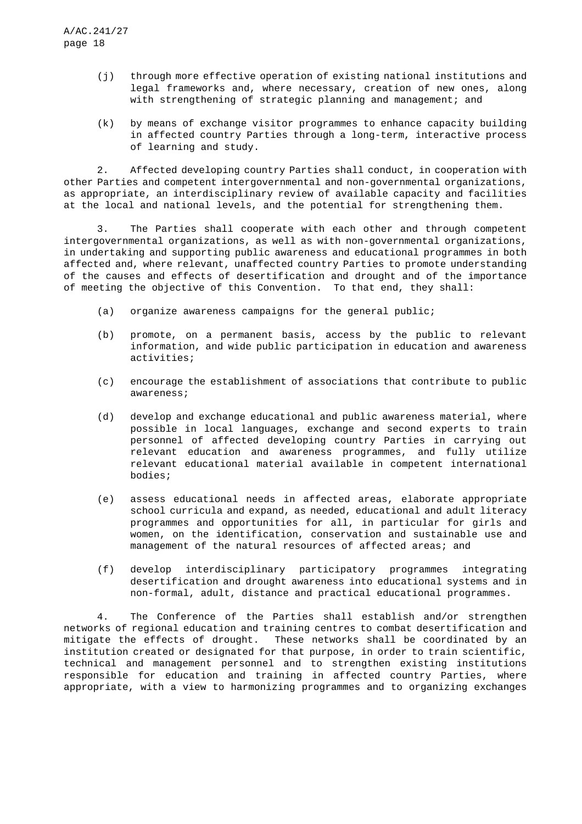- (j) through more effective operation of existing national institutions and legal frameworks and, where necessary, creation of new ones, along with strengthening of strategic planning and management; and
- (k) by means of exchange visitor programmes to enhance capacity building in affected country Parties through a long-term, interactive process of learning and study.

2. Affected developing country Parties shall conduct, in cooperation with other Parties and competent intergovernmental and non-governmental organizations, as appropriate, an interdisciplinary review of available capacity and facilities at the local and national levels, and the potential for strengthening them.

3. The Parties shall cooperate with each other and through competent intergovernmental organizations, as well as with non-governmental organizations, in undertaking and supporting public awareness and educational programmes in both affected and, where relevant, unaffected country Parties to promote understanding of the causes and effects of desertification and drought and of the importance of meeting the objective of this Convention. To that end, they shall:

- (a) organize awareness campaigns for the general public;
- (b) promote, on a permanent basis, access by the public to relevant information, and wide public participation in education and awareness activities;
- (c) encourage the establishment of associations that contribute to public awareness;
- (d) develop and exchange educational and public awareness material, where possible in local languages, exchange and second experts to train personnel of affected developing country Parties in carrying out relevant education and awareness programmes, and fully utilize relevant educational material available in competent international bodies;
- (e) assess educational needs in affected areas, elaborate appropriate school curricula and expand, as needed, educational and adult literacy programmes and opportunities for all, in particular for girls and women, on the identification, conservation and sustainable use and management of the natural resources of affected areas; and
- (f) develop interdisciplinary participatory programmes integrating desertification and drought awareness into educational systems and in non-formal, adult, distance and practical educational programmes.

4. The Conference of the Parties shall establish and/or strengthen networks of regional education and training centres to combat desertification and mitigate the effects of drought. These networks shall be coordinated by an institution created or designated for that purpose, in order to train scientific, technical and management personnel and to strengthen existing institutions responsible for education and training in affected country Parties, where appropriate, with a view to harmonizing programmes and to organizing exchanges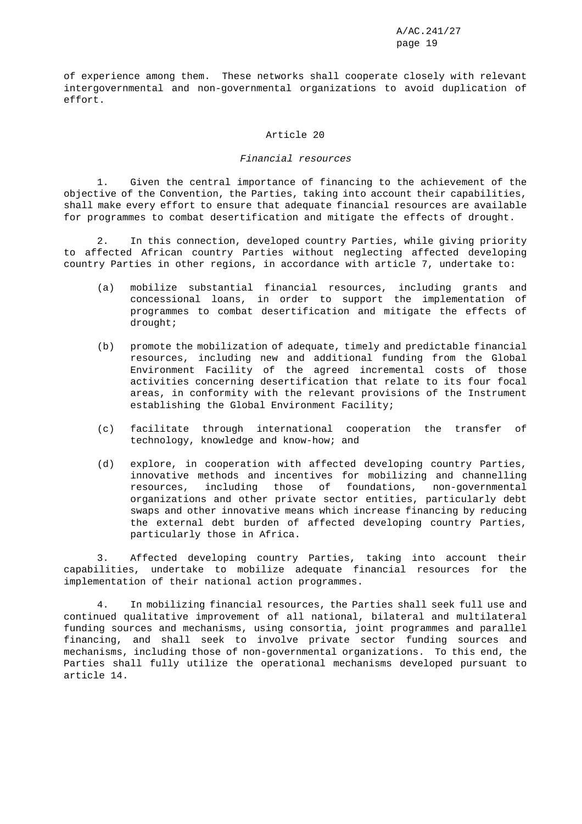of experience among them. These networks shall cooperate closely with relevant intergovernmental and non-governmental organizations to avoid duplication of effort.

# Article 20

# Financial resources

1. Given the central importance of financing to the achievement of the objective of the Convention, the Parties, taking into account their capabilities, shall make every effort to ensure that adequate financial resources are available for programmes to combat desertification and mitigate the effects of drought.

2. In this connection, developed country Parties, while giving priority to affected African country Parties without neglecting affected developing country Parties in other regions, in accordance with article 7, undertake to:

- (a) mobilize substantial financial resources, including grants and concessional loans, in order to support the implementation of programmes to combat desertification and mitigate the effects of drought;
- (b) promote the mobilization of adequate, timely and predictable financial resources, including new and additional funding from the Global Environment Facility of the agreed incremental costs of those activities concerning desertification that relate to its four focal areas, in conformity with the relevant provisions of the Instrument establishing the Global Environment Facility;
- (c) facilitate through international cooperation the transfer of technology, knowledge and know-how; and
- (d) explore, in cooperation with affected developing country Parties, innovative methods and incentives for mobilizing and channelling resources, including those of foundations, non-governmental organizations and other private sector entities, particularly debt swaps and other innovative means which increase financing by reducing the external debt burden of affected developing country Parties, particularly those in Africa.

3. Affected developing country Parties, taking into account their capabilities, undertake to mobilize adequate financial resources for the implementation of their national action programmes.

4. In mobilizing financial resources, the Parties shall seek full use and continued qualitative improvement of all national, bilateral and multilateral funding sources and mechanisms, using consortia, joint programmes and parallel financing, and shall seek to involve private sector funding sources and mechanisms, including those of non-governmental organizations. To this end, the Parties shall fully utilize the operational mechanisms developed pursuant to article 14.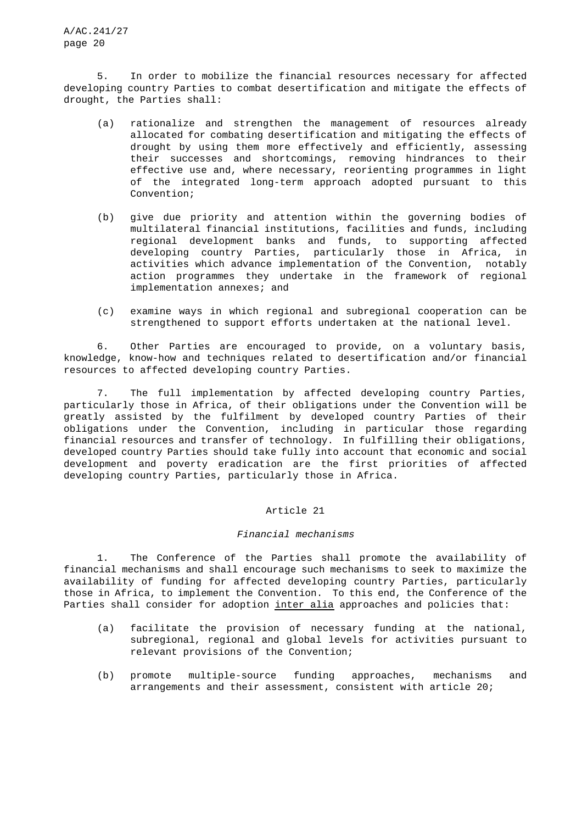5. In order to mobilize the financial resources necessary for affected developing country Parties to combat desertification and mitigate the effects of drought, the Parties shall:

- (a) rationalize and strengthen the management of resources already allocated for combating desertification and mitigating the effects of drought by using them more effectively and efficiently, assessing their successes and shortcomings, removing hindrances to their effective use and, where necessary, reorienting programmes in light of the integrated long-term approach adopted pursuant to this Convention;
- (b) give due priority and attention within the governing bodies of multilateral financial institutions, facilities and funds, including regional development banks and funds, to supporting affected developing country Parties, particularly those in Africa, in activities which advance implementation of the Convention, notably action programmes they undertake in the framework of regional implementation annexes; and
- (c) examine ways in which regional and subregional cooperation can be strengthened to support efforts undertaken at the national level.

6. Other Parties are encouraged to provide, on a voluntary basis, knowledge, know-how and techniques related to desertification and/or financial resources to affected developing country Parties.

7. The full implementation by affected developing country Parties, particularly those in Africa, of their obligations under the Convention will be greatly assisted by the fulfilment by developed country Parties of their obligations under the Convention, including in particular those regarding financial resources and transfer of technology. In fulfilling their obligations, developed country Parties should take fully into account that economic and social development and poverty eradication are the first priorities of affected developing country Parties, particularly those in Africa.

# Article 21

#### Financial mechanisms

1. The Conference of the Parties shall promote the availability of financial mechanisms and shall encourage such mechanisms to seek to maximize the availability of funding for affected developing country Parties, particularly those in Africa, to implement the Convention. To this end, the Conference of the Parties shall consider for adoption inter alia approaches and policies that:

- (a) facilitate the provision of necessary funding at the national, subregional, regional and global levels for activities pursuant to relevant provisions of the Convention;
- (b) promote multiple-source funding approaches, mechanisms and arrangements and their assessment, consistent with article 20;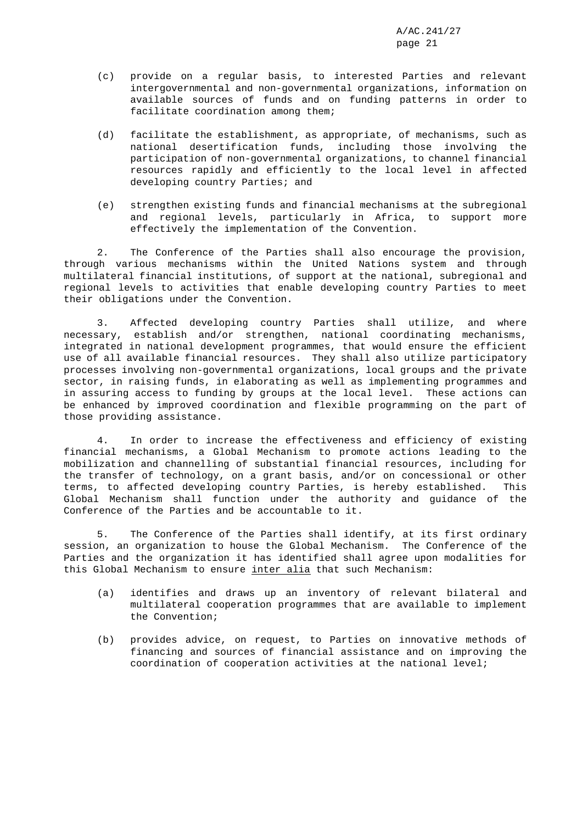- (c) provide on a regular basis, to interested Parties and relevant intergovernmental and non-governmental organizations, information on available sources of funds and on funding patterns in order to facilitate coordination among them;
- (d) facilitate the establishment, as appropriate, of mechanisms, such as national desertification funds, including those involving the participation of non-governmental organizations, to channel financial resources rapidly and efficiently to the local level in affected developing country Parties; and
- (e) strengthen existing funds and financial mechanisms at the subregional and regional levels, particularly in Africa, to support more effectively the implementation of the Convention.

2. The Conference of the Parties shall also encourage the provision, through various mechanisms within the United Nations system and through multilateral financial institutions, of support at the national, subregional and regional levels to activities that enable developing country Parties to meet their obligations under the Convention.

3. Affected developing country Parties shall utilize, and where necessary, establish and/or strengthen, national coordinating mechanisms, integrated in national development programmes, that would ensure the efficient use of all available financial resources. They shall also utilize participatory processes involving non-governmental organizations, local groups and the private sector, in raising funds, in elaborating as well as implementing programmes and in assuring access to funding by groups at the local level. These actions can be enhanced by improved coordination and flexible programming on the part of those providing assistance.

4. In order to increase the effectiveness and efficiency of existing financial mechanisms, a Global Mechanism to promote actions leading to the mobilization and channelling of substantial financial resources, including for the transfer of technology, on a grant basis, and/or on concessional or other terms, to affected developing country Parties, is hereby established. This Global Mechanism shall function under the authority and guidance of the Conference of the Parties and be accountable to it.

5. The Conference of the Parties shall identify, at its first ordinary session, an organization to house the Global Mechanism. The Conference of the Parties and the organization it has identified shall agree upon modalities for this Global Mechanism to ensure inter alia that such Mechanism:

- (a) identifies and draws up an inventory of relevant bilateral and multilateral cooperation programmes that are available to implement the Convention;
- (b) provides advice, on request, to Parties on innovative methods of financing and sources of financial assistance and on improving the coordination of cooperation activities at the national level;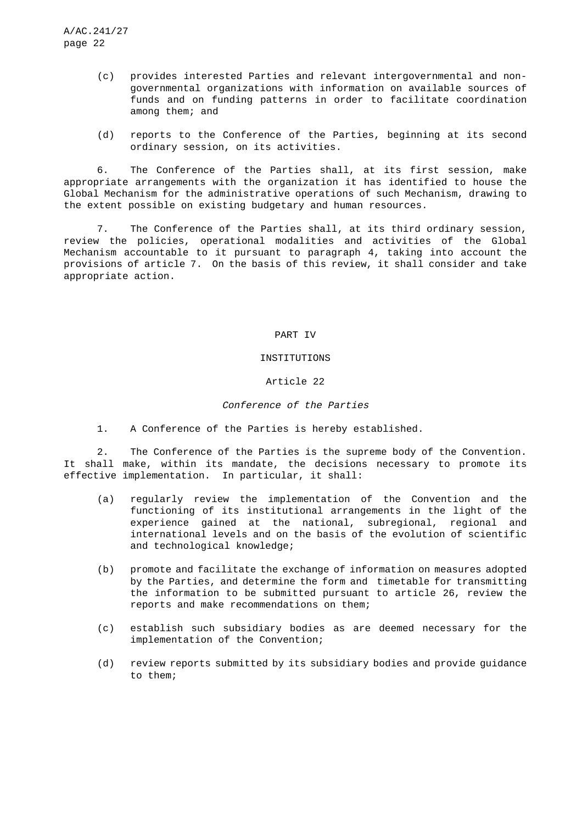- (c) provides interested Parties and relevant intergovernmental and nongovernmental organizations with information on available sources of funds and on funding patterns in order to facilitate coordination among them; and
- (d) reports to the Conference of the Parties, beginning at its second ordinary session, on its activities.

6. The Conference of the Parties shall, at its first session, make appropriate arrangements with the organization it has identified to house the Global Mechanism for the administrative operations of such Mechanism, drawing to the extent possible on existing budgetary and human resources.

7. The Conference of the Parties shall, at its third ordinary session, review the policies, operational modalities and activities of the Global Mechanism accountable to it pursuant to paragraph 4, taking into account the provisions of article 7. On the basis of this review, it shall consider and take appropriate action.

# PART IV

# INSTITUTIONS

# Article 22

# Conference of the Parties

1. A Conference of the Parties is hereby established.

2. The Conference of the Parties is the supreme body of the Convention. It shall make, within its mandate, the decisions necessary to promote its effective implementation. In particular, it shall:

- (a) regularly review the implementation of the Convention and the functioning of its institutional arrangements in the light of the experience gained at the national, subregional, regional and international levels and on the basis of the evolution of scientific and technological knowledge;
- (b) promote and facilitate the exchange of information on measures adopted by the Parties, and determine the form and timetable for transmitting the information to be submitted pursuant to article 26, review the reports and make recommendations on them;
- (c) establish such subsidiary bodies as are deemed necessary for the implementation of the Convention;
- (d) review reports submitted by its subsidiary bodies and provide guidance to them;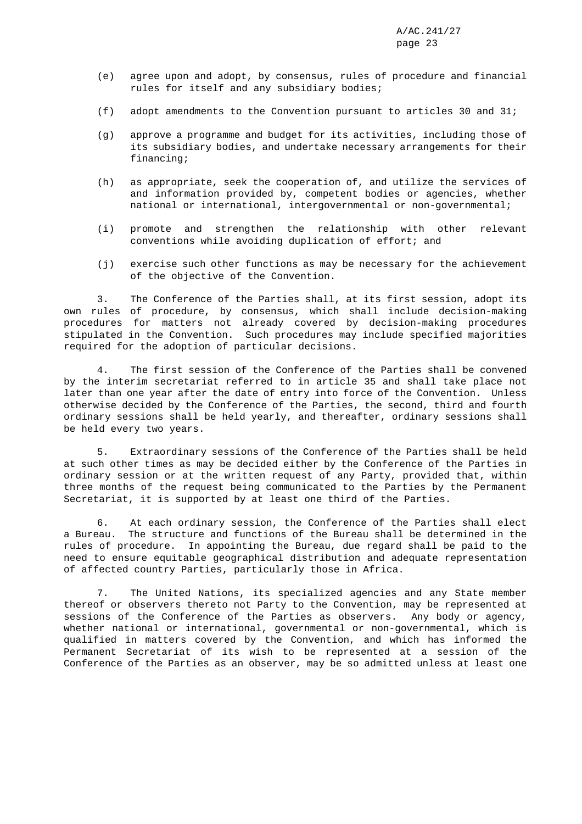- (e) agree upon and adopt, by consensus, rules of procedure and financial rules for itself and any subsidiary bodies;
- (f) adopt amendments to the Convention pursuant to articles 30 and 31;
- (g) approve a programme and budget for its activities, including those of its subsidiary bodies, and undertake necessary arrangements for their financing;
- (h) as appropriate, seek the cooperation of, and utilize the services of and information provided by, competent bodies or agencies, whether national or international, intergovernmental or non-governmental;
- (i) promote and strengthen the relationship with other relevant conventions while avoiding duplication of effort; and
- (j) exercise such other functions as may be necessary for the achievement of the objective of the Convention.

3. The Conference of the Parties shall, at its first session, adopt its own rules of procedure, by consensus, which shall include decision-making procedures for matters not already covered by decision-making procedures stipulated in the Convention. Such procedures may include specified majorities required for the adoption of particular decisions.

4. The first session of the Conference of the Parties shall be convened by the interim secretariat referred to in article 35 and shall take place not later than one year after the date of entry into force of the Convention. Unless otherwise decided by the Conference of the Parties, the second, third and fourth ordinary sessions shall be held yearly, and thereafter, ordinary sessions shall be held every two years.

5. Extraordinary sessions of the Conference of the Parties shall be held at such other times as may be decided either by the Conference of the Parties in ordinary session or at the written request of any Party, provided that, within three months of the request being communicated to the Parties by the Permanent Secretariat, it is supported by at least one third of the Parties.

6. At each ordinary session, the Conference of the Parties shall elect a Bureau. The structure and functions of the Bureau shall be determined in the rules of procedure. In appointing the Bureau, due regard shall be paid to the need to ensure equitable geographical distribution and adequate representation of affected country Parties, particularly those in Africa.

7. The United Nations, its specialized agencies and any State member thereof or observers thereto not Party to the Convention, may be represented at sessions of the Conference of the Parties as observers. Any body or agency, whether national or international, governmental or non-governmental, which is qualified in matters covered by the Convention, and which has informed the Permanent Secretariat of its wish to be represented at a session of the Conference of the Parties as an observer, may be so admitted unless at least one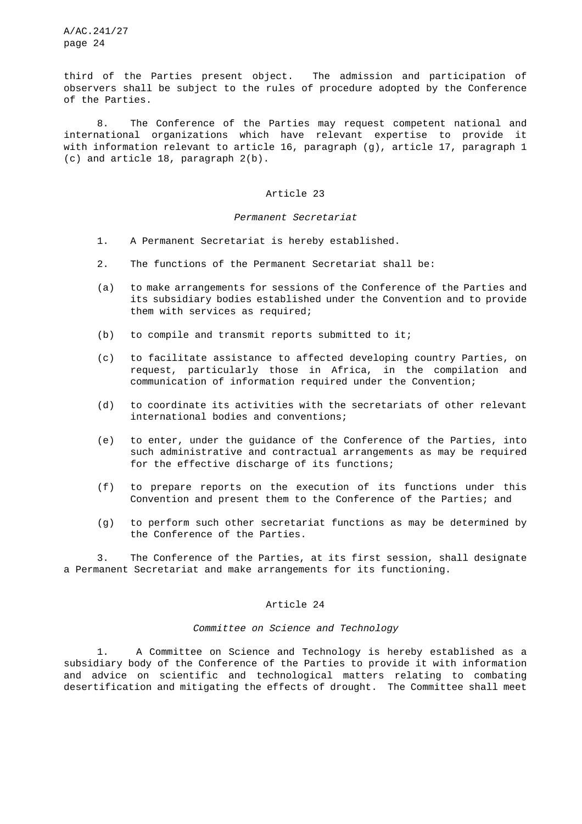third of the Parties present object. The admission and participation of observers shall be subject to the rules of procedure adopted by the Conference of the Parties.

8. The Conference of the Parties may request competent national and international organizations which have relevant expertise to provide it with information relevant to article 16, paragraph (g), article 17, paragraph 1 (c) and article 18, paragraph 2(b).

#### Article 23

#### Permanent Secretariat

- 1. A Permanent Secretariat is hereby established.
- 2. The functions of the Permanent Secretariat shall be:
- (a) to make arrangements for sessions of the Conference of the Parties and its subsidiary bodies established under the Convention and to provide them with services as required;
- (b) to compile and transmit reports submitted to it;
- (c) to facilitate assistance to affected developing country Parties, on request, particularly those in Africa, in the compilation and communication of information required under the Convention;
- (d) to coordinate its activities with the secretariats of other relevant international bodies and conventions;
- (e) to enter, under the guidance of the Conference of the Parties, into such administrative and contractual arrangements as may be required for the effective discharge of its functions;
- (f) to prepare reports on the execution of its functions under this Convention and present them to the Conference of the Parties; and
- (g) to perform such other secretariat functions as may be determined by the Conference of the Parties.

3. The Conference of the Parties, at its first session, shall designate a Permanent Secretariat and make arrangements for its functioning.

# Article 24

### Committee on Science and Technology

1. A Committee on Science and Technology is hereby established as a subsidiary body of the Conference of the Parties to provide it with information and advice on scientific and technological matters relating to combating desertification and mitigating the effects of drought. The Committee shall meet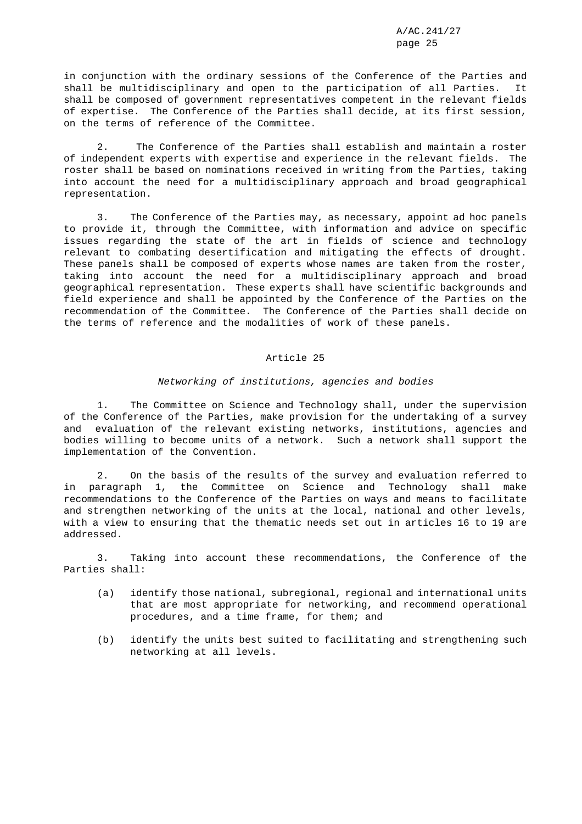in conjunction with the ordinary sessions of the Conference of the Parties and shall be multidisciplinary and open to the participation of all Parties. It shall be composed of government representatives competent in the relevant fields of expertise. The Conference of the Parties shall decide, at its first session, on the terms of reference of the Committee.

2. The Conference of the Parties shall establish and maintain a roster of independent experts with expertise and experience in the relevant fields. The roster shall be based on nominations received in writing from the Parties, taking into account the need for a multidisciplinary approach and broad geographical representation.

3. The Conference of the Parties may, as necessary, appoint ad hoc panels to provide it, through the Committee, with information and advice on specific issues regarding the state of the art in fields of science and technology relevant to combating desertification and mitigating the effects of drought. These panels shall be composed of experts whose names are taken from the roster, taking into account the need for a multidisciplinary approach and broad geographical representation. These experts shall have scientific backgrounds and field experience and shall be appointed by the Conference of the Parties on the recommendation of the Committee. The Conference of the Parties shall decide on the terms of reference and the modalities of work of these panels.

# Article 25

### Networking of institutions, agencies and bodies

1. The Committee on Science and Technology shall, under the supervision of the Conference of the Parties, make provision for the undertaking of a survey and evaluation of the relevant existing networks, institutions, agencies and bodies willing to become units of a network. Such a network shall support the implementation of the Convention.

2. On the basis of the results of the survey and evaluation referred to in paragraph 1, the Committee on Science and Technology shall make recommendations to the Conference of the Parties on ways and means to facilitate and strengthen networking of the units at the local, national and other levels, with a view to ensuring that the thematic needs set out in articles 16 to 19 are addressed.

3. Taking into account these recommendations, the Conference of the Parties shall:

- (a) identify those national, subregional, regional and international units that are most appropriate for networking, and recommend operational procedures, and a time frame, for them; and
- (b) identify the units best suited to facilitating and strengthening such networking at all levels.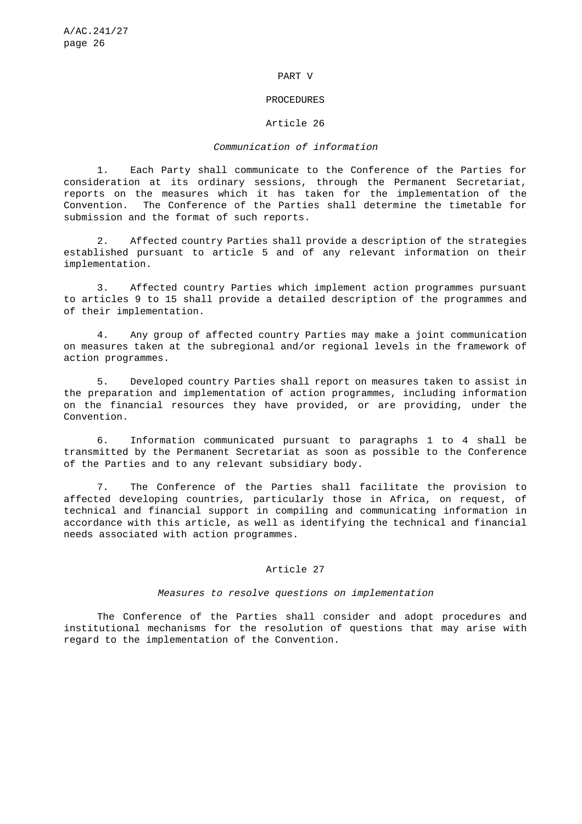#### PART V

#### **PROCEDURES**

### Article 26

# Communication of information

1. Each Party shall communicate to the Conference of the Parties for consideration at its ordinary sessions, through the Permanent Secretariat, reports on the measures which it has taken for the implementation of the Convention. The Conference of the Parties shall determine the timetable for submission and the format of such reports.

2. Affected country Parties shall provide a description of the strategies established pursuant to article 5 and of any relevant information on their implementation.

3. Affected country Parties which implement action programmes pursuant to articles 9 to 15 shall provide a detailed description of the programmes and of their implementation.

4. Any group of affected country Parties may make a joint communication on measures taken at the subregional and/or regional levels in the framework of action programmes.

5. Developed country Parties shall report on measures taken to assist in the preparation and implementation of action programmes, including information on the financial resources they have provided, or are providing, under the Convention.

6. Information communicated pursuant to paragraphs 1 to 4 shall be transmitted by the Permanent Secretariat as soon as possible to the Conference of the Parties and to any relevant subsidiary body.

7. The Conference of the Parties shall facilitate the provision to affected developing countries, particularly those in Africa, on request, of technical and financial support in compiling and communicating information in accordance with this article, as well as identifying the technical and financial needs associated with action programmes.

# Article 27

### Measures to resolve questions on implementation

The Conference of the Parties shall consider and adopt procedures and institutional mechanisms for the resolution of questions that may arise with regard to the implementation of the Convention.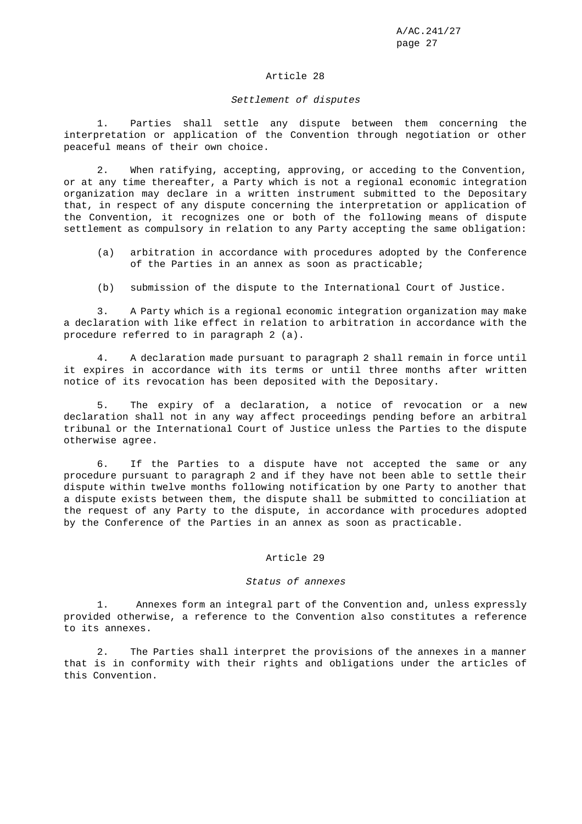### Settlement of disputes

1. Parties shall settle any dispute between them concerning the interpretation or application of the Convention through negotiation or other peaceful means of their own choice.

2. When ratifying, accepting, approving, or acceding to the Convention, or at any time thereafter, a Party which is not a regional economic integration organization may declare in a written instrument submitted to the Depositary that, in respect of any dispute concerning the interpretation or application of the Convention, it recognizes one or both of the following means of dispute settlement as compulsory in relation to any Party accepting the same obligation:

- (a) arbitration in accordance with procedures adopted by the Conference of the Parties in an annex as soon as practicable;
- (b) submission of the dispute to the International Court of Justice.

3. A Party which is a regional economic integration organization may make a declaration with like effect in relation to arbitration in accordance with the procedure referred to in paragraph 2 (a).

4. A declaration made pursuant to paragraph 2 shall remain in force until it expires in accordance with its terms or until three months after written notice of its revocation has been deposited with the Depositary.

5. The expiry of a declaration, a notice of revocation or a new declaration shall not in any way affect proceedings pending before an arbitral tribunal or the International Court of Justice unless the Parties to the dispute otherwise agree.

6. If the Parties to a dispute have not accepted the same or any procedure pursuant to paragraph 2 and if they have not been able to settle their dispute within twelve months following notification by one Party to another that a dispute exists between them, the dispute shall be submitted to conciliation at the request of any Party to the dispute, in accordance with procedures adopted by the Conference of the Parties in an annex as soon as practicable.

#### Article 29

### Status of annexes

1. Annexes form an integral part of the Convention and, unless expressly provided otherwise, a reference to the Convention also constitutes a reference to its annexes.

2. The Parties shall interpret the provisions of the annexes in a manner that is in conformity with their rights and obligations under the articles of this Convention.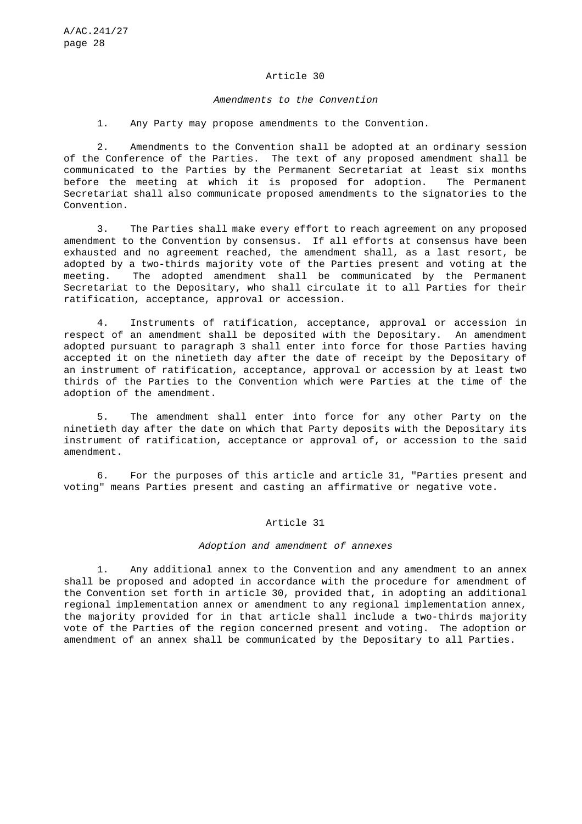# Amendments to the Convention

1. Any Party may propose amendments to the Convention.

2. Amendments to the Convention shall be adopted at an ordinary session of the Conference of the Parties. The text of any proposed amendment shall be communicated to the Parties by the Permanent Secretariat at least six months before the meeting at which it is proposed for adoption. The Permanent Secretariat shall also communicate proposed amendments to the signatories to the Convention.

3. The Parties shall make every effort to reach agreement on any proposed amendment to the Convention by consensus. If all efforts at consensus have been exhausted and no agreement reached, the amendment shall, as a last resort, be adopted by a two-thirds majority vote of the Parties present and voting at the meeting. The adopted amendment shall be communicated by the Permanent Secretariat to the Depositary, who shall circulate it to all Parties for their ratification, acceptance, approval or accession.

4. Instruments of ratification, acceptance, approval or accession in respect of an amendment shall be deposited with the Depositary. An amendment adopted pursuant to paragraph 3 shall enter into force for those Parties having accepted it on the ninetieth day after the date of receipt by the Depositary of an instrument of ratification, acceptance, approval or accession by at least two thirds of the Parties to the Convention which were Parties at the time of the adoption of the amendment.

5. The amendment shall enter into force for any other Party on the ninetieth day after the date on which that Party deposits with the Depositary its instrument of ratification, acceptance or approval of, or accession to the said amendment.

6. For the purposes of this article and article 31, "Parties present and voting" means Parties present and casting an affirmative or negative vote.

# Article 31

# Adoption and amendment of annexes

1. Any additional annex to the Convention and any amendment to an annex shall be proposed and adopted in accordance with the procedure for amendment of the Convention set forth in article 30, provided that, in adopting an additional regional implementation annex or amendment to any regional implementation annex, the majority provided for in that article shall include a two-thirds majority vote of the Parties of the region concerned present and voting. The adoption or amendment of an annex shall be communicated by the Depositary to all Parties.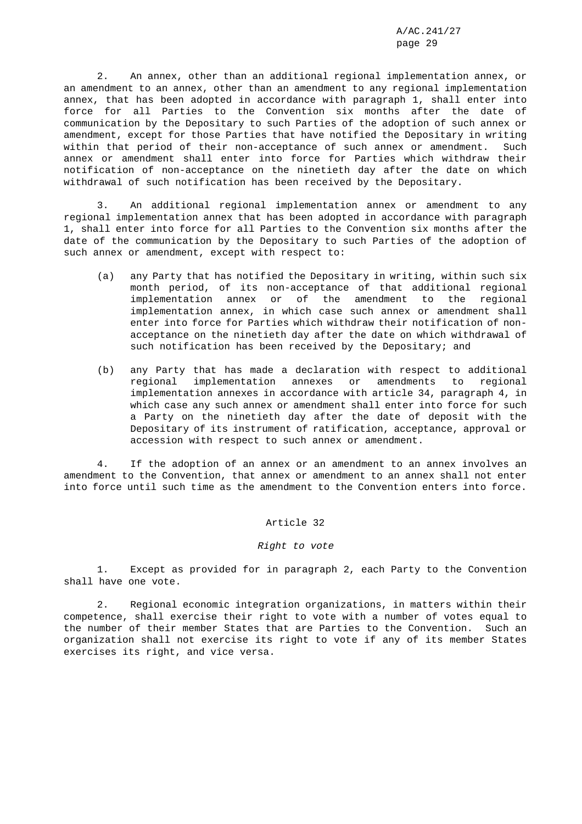2. An annex, other than an additional regional implementation annex, or an amendment to an annex, other than an amendment to any regional implementation annex, that has been adopted in accordance with paragraph 1, shall enter into force for all Parties to the Convention six months after the date of communication by the Depositary to such Parties of the adoption of such annex or amendment, except for those Parties that have notified the Depositary in writing within that period of their non-acceptance of such annex or amendment. Such annex or amendment shall enter into force for Parties which withdraw their notification of non-acceptance on the ninetieth day after the date on which withdrawal of such notification has been received by the Depositary.

3. An additional regional implementation annex or amendment to any regional implementation annex that has been adopted in accordance with paragraph 1, shall enter into force for all Parties to the Convention six months after the date of the communication by the Depositary to such Parties of the adoption of such annex or amendment, except with respect to:

- (a) any Party that has notified the Depositary in writing, within such six month period, of its non-acceptance of that additional regional implementation annex or of the amendment to the regional implementation annex, in which case such annex or amendment shall enter into force for Parties which withdraw their notification of nonacceptance on the ninetieth day after the date on which withdrawal of such notification has been received by the Depositary; and
- (b) any Party that has made a declaration with respect to additional regional implementation annexes or amendments to regional implementation annexes in accordance with article 34, paragraph 4, in which case any such annex or amendment shall enter into force for such a Party on the ninetieth day after the date of deposit with the Depositary of its instrument of ratification, acceptance, approval or accession with respect to such annex or amendment.

4. If the adoption of an annex or an amendment to an annex involves an amendment to the Convention, that annex or amendment to an annex shall not enter into force until such time as the amendment to the Convention enters into force.

# Article 32

### Right to vote

1. Except as provided for in paragraph 2, each Party to the Convention shall have one vote.

2. Regional economic integration organizations, in matters within their competence, shall exercise their right to vote with a number of votes equal to the number of their member States that are Parties to the Convention. Such an organization shall not exercise its right to vote if any of its member States exercises its right, and vice versa.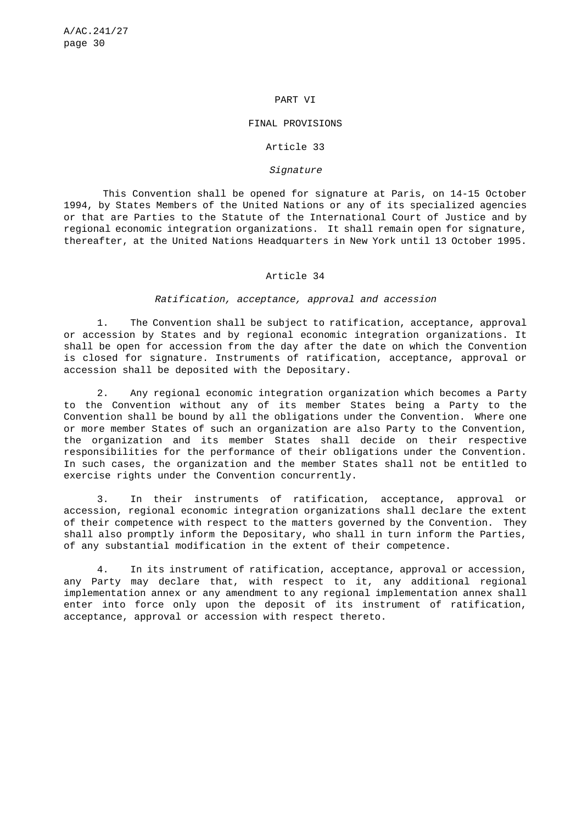### PART VI

# FINAL PROVISIONS

# Article 33

### Signature

This Convention shall be opened for signature at Paris, on 14-15 October 1994, by States Members of the United Nations or any of its specialized agencies or that are Parties to the Statute of the International Court of Justice and by regional economic integration organizations. It shall remain open for signature, thereafter, at the United Nations Headquarters in New York until 13 October 1995.

#### Article 34

### Ratification, acceptance, approval and accession

1. The Convention shall be subject to ratification, acceptance, approval or accession by States and by regional economic integration organizations. It shall be open for accession from the day after the date on which the Convention is closed for signature. Instruments of ratification, acceptance, approval or accession shall be deposited with the Depositary.

2. Any regional economic integration organization which becomes a Party to the Convention without any of its member States being a Party to the Convention shall be bound by all the obligations under the Convention. Where one or more member States of such an organization are also Party to the Convention, the organization and its member States shall decide on their respective responsibilities for the performance of their obligations under the Convention. In such cases, the organization and the member States shall not be entitled to exercise rights under the Convention concurrently.

3. In their instruments of ratification, acceptance, approval or accession, regional economic integration organizations shall declare the extent of their competence with respect to the matters governed by the Convention. They shall also promptly inform the Depositary, who shall in turn inform the Parties, of any substantial modification in the extent of their competence.

4. In its instrument of ratification, acceptance, approval or accession, any Party may declare that, with respect to it, any additional regional implementation annex or any amendment to any regional implementation annex shall enter into force only upon the deposit of its instrument of ratification, acceptance, approval or accession with respect thereto.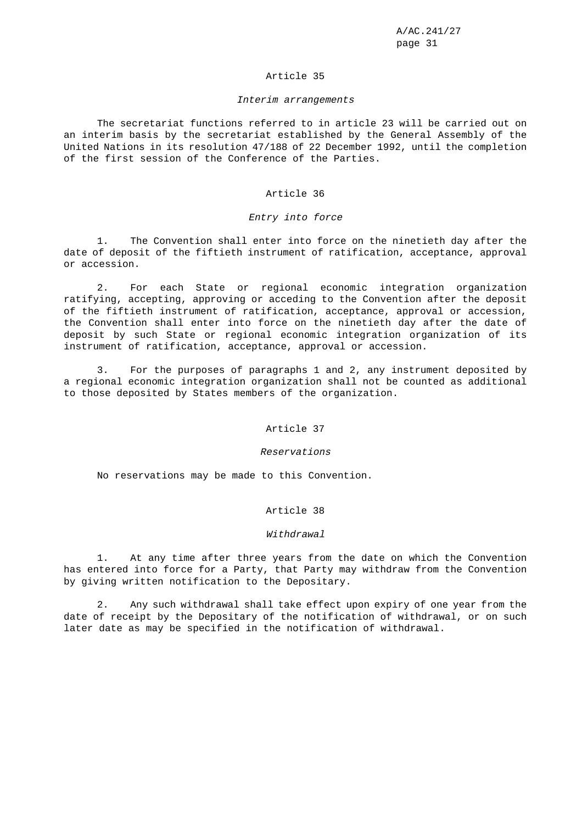#### Interim arrangements

The secretariat functions referred to in article 23 will be carried out on an interim basis by the secretariat established by the General Assembly of the United Nations in its resolution 47/188 of 22 December 1992, until the completion of the first session of the Conference of the Parties.

#### Article 36

#### Entry into force

1. The Convention shall enter into force on the ninetieth day after the date of deposit of the fiftieth instrument of ratification, acceptance, approval or accession.

2. For each State or regional economic integration organization ratifying, accepting, approving or acceding to the Convention after the deposit of the fiftieth instrument of ratification, acceptance, approval or accession, the Convention shall enter into force on the ninetieth day after the date of deposit by such State or regional economic integration organization of its instrument of ratification, acceptance, approval or accession.

3. For the purposes of paragraphs 1 and 2, any instrument deposited by a regional economic integration organization shall not be counted as additional to those deposited by States members of the organization.

### Article 37

#### Reservations

No reservations may be made to this Convention.

# Article 38

#### Withdrawal

1. At any time after three years from the date on which the Convention has entered into force for a Party, that Party may withdraw from the Convention by giving written notification to the Depositary.

2. Any such withdrawal shall take effect upon expiry of one year from the date of receipt by the Depositary of the notification of withdrawal, or on such later date as may be specified in the notification of withdrawal.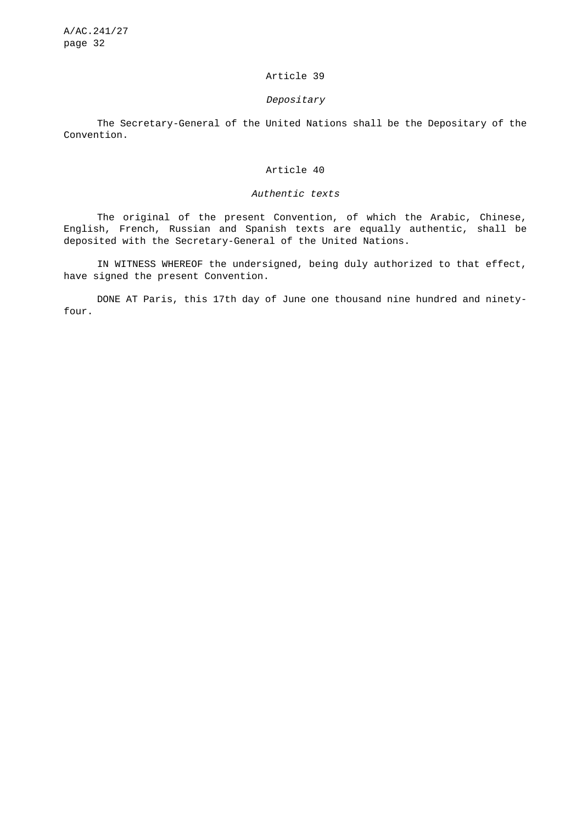# Article 39

# Depositary

The Secretary-General of the United Nations shall be the Depositary of the Convention.

# Article 40

### Authentic texts

The original of the present Convention, of which the Arabic, Chinese, English, French, Russian and Spanish texts are equally authentic, shall be deposited with the Secretary-General of the United Nations.

IN WITNESS WHEREOF the undersigned, being duly authorized to that effect, have signed the present Convention.

DONE AT Paris, this 17th day of June one thousand nine hundred and ninetyfour.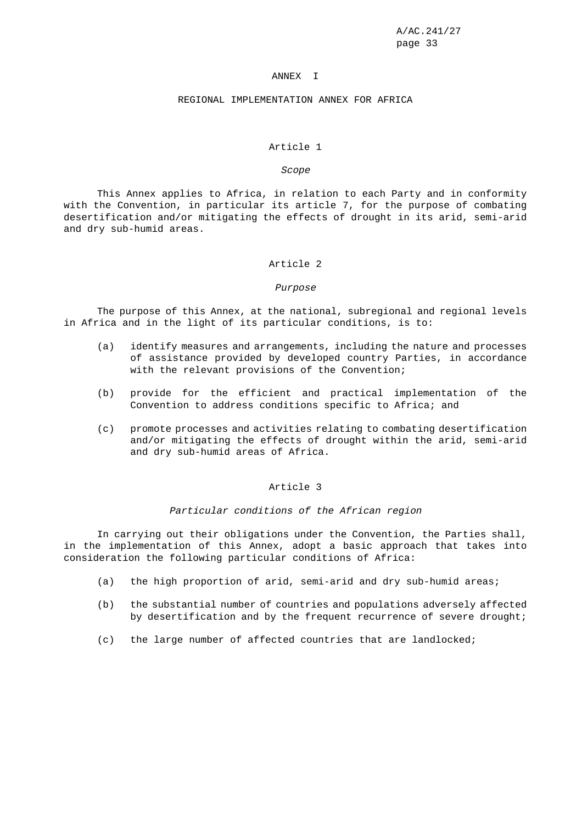### ANNEX I

# REGIONAL IMPLEMENTATION ANNEX FOR AFRICA

# Article 1

### Scope

This Annex applies to Africa, in relation to each Party and in conformity with the Convention, in particular its article 7, for the purpose of combating desertification and/or mitigating the effects of drought in its arid, semi-arid and dry sub-humid areas.

# Article 2

#### Purpose

The purpose of this Annex, at the national, subregional and regional levels in Africa and in the light of its particular conditions, is to:

- (a) identify measures and arrangements, including the nature and processes of assistance provided by developed country Parties, in accordance with the relevant provisions of the Convention;
- (b) provide for the efficient and practical implementation of the Convention to address conditions specific to Africa; and
- (c) promote processes and activities relating to combating desertification and/or mitigating the effects of drought within the arid, semi-arid and dry sub-humid areas of Africa.

# Article 3

### Particular conditions of the African region

In carrying out their obligations under the Convention, the Parties shall, in the implementation of this Annex, adopt a basic approach that takes into consideration the following particular conditions of Africa:

- (a) the high proportion of arid, semi-arid and dry sub-humid areas;
- (b) the substantial number of countries and populations adversely affected by desertification and by the frequent recurrence of severe drought;
- (c) the large number of affected countries that are landlocked;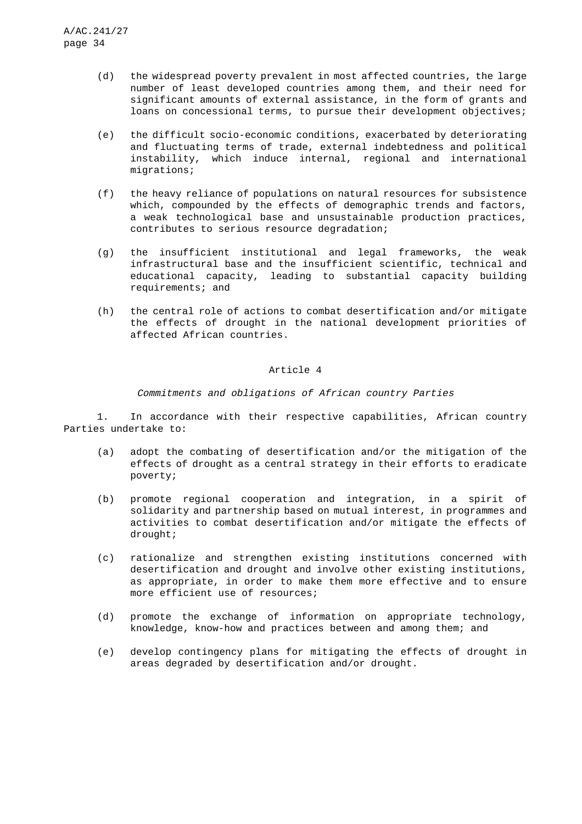- (d) the widespread poverty prevalent in most affected countries, the large number of least developed countries among them, and their need for significant amounts of external assistance, in the form of grants and loans on concessional terms, to pursue their development objectives;
- (e) the difficult socio-economic conditions, exacerbated by deteriorating and fluctuating terms of trade, external indebtedness and political instability, which induce internal, regional and international migrations;
- (f) the heavy reliance of populations on natural resources for subsistence which, compounded by the effects of demographic trends and factors, a weak technological base and unsustainable production practices, contributes to serious resource degradation;
- (g) the insufficient institutional and legal frameworks, the weak infrastructural base and the insufficient scientific, technical and educational capacity, leading to substantial capacity building requirements; and
- (h) the central role of actions to combat desertification and/or mitigate the effects of drought in the national development priorities of affected African countries.

Commitments and obligations of African country Parties

1. In accordance with their respective capabilities, African country Parties undertake to:

- (a) adopt the combating of desertification and/or the mitigation of the effects of drought as a central strategy in their efforts to eradicate poverty;
- (b) promote regional cooperation and integration, in a spirit of solidarity and partnership based on mutual interest, in programmes and activities to combat desertification and/or mitigate the effects of drought;
- (c) rationalize and strengthen existing institutions concerned with desertification and drought and involve other existing institutions, as appropriate, in order to make them more effective and to ensure more efficient use of resources;
- (d) promote the exchange of information on appropriate technology, knowledge, know-how and practices between and among them; and
- (e) develop contingency plans for mitigating the effects of drought in areas degraded by desertification and/or drought.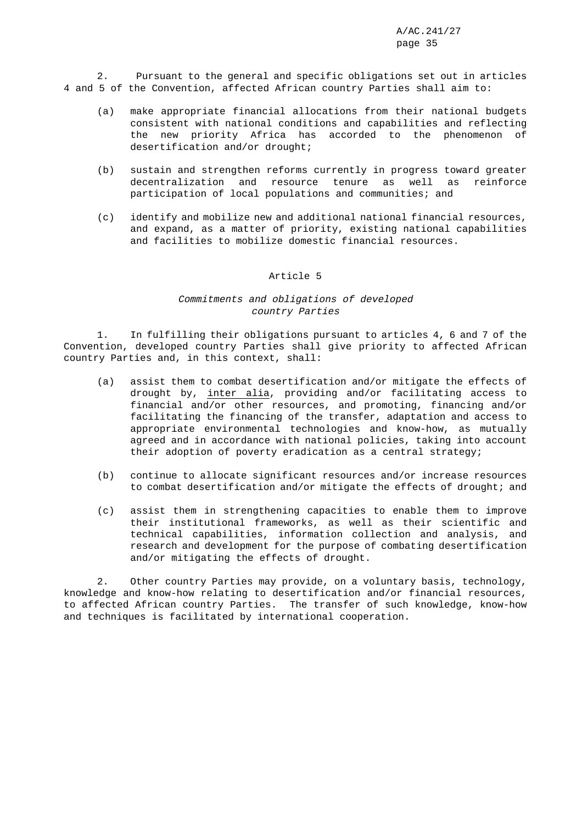2. Pursuant to the general and specific obligations set out in articles 4 and 5 of the Convention, affected African country Parties shall aim to:

- (a) make appropriate financial allocations from their national budgets consistent with national conditions and capabilities and reflecting the new priority Africa has accorded to the phenomenon of desertification and/or drought;
- (b) sustain and strengthen reforms currently in progress toward greater decentralization and resource tenure as well as reinforce participation of local populations and communities; and
- (c) identify and mobilize new and additional national financial resources, and expand, as a matter of priority, existing national capabilities and facilities to mobilize domestic financial resources.

# Article 5

# Commitments and obligations of developed country Parties

1. In fulfilling their obligations pursuant to articles 4, 6 and 7 of the Convention, developed country Parties shall give priority to affected African country Parties and, in this context, shall:

- (a) assist them to combat desertification and/or mitigate the effects of drought by, inter alia, providing and/or facilitating access to financial and/or other resources, and promoting, financing and/or facilitating the financing of the transfer, adaptation and access to appropriate environmental technologies and know-how, as mutually agreed and in accordance with national policies, taking into account their adoption of poverty eradication as a central strategy;
- (b) continue to allocate significant resources and/or increase resources to combat desertification and/or mitigate the effects of drought; and
- (c) assist them in strengthening capacities to enable them to improve their institutional frameworks, as well as their scientific and technical capabilities, information collection and analysis, and research and development for the purpose of combating desertification and/or mitigating the effects of drought.

2. Other country Parties may provide, on a voluntary basis, technology, knowledge and know-how relating to desertification and/or financial resources, to affected African country Parties. The transfer of such knowledge, know-how and techniques is facilitated by international cooperation.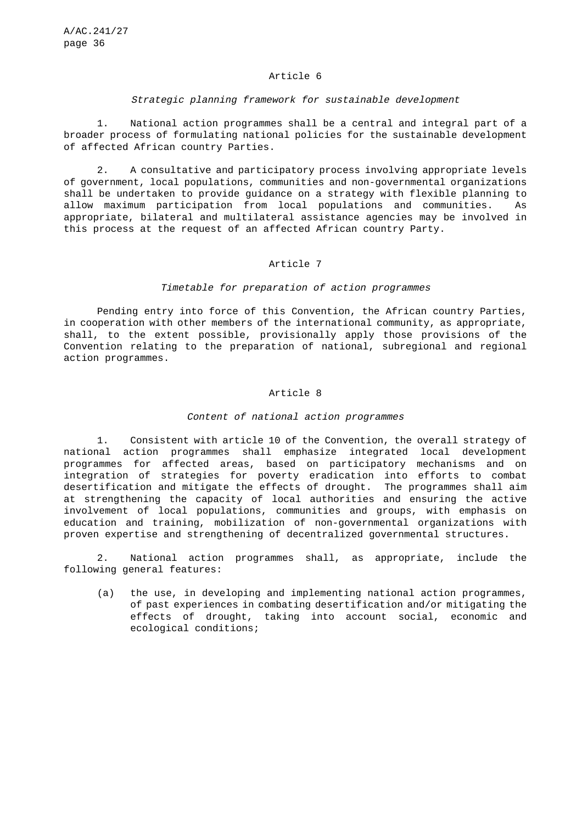### Strategic planning framework for sustainable development

1. National action programmes shall be a central and integral part of a broader process of formulating national policies for the sustainable development of affected African country Parties.

2. A consultative and participatory process involving appropriate levels of government, local populations, communities and non-governmental organizations shall be undertaken to provide guidance on a strategy with flexible planning to allow maximum participation from local populations and communities. As appropriate, bilateral and multilateral assistance agencies may be involved in this process at the request of an affected African country Party.

# Article 7

#### Timetable for preparation of action programmes

Pending entry into force of this Convention, the African country Parties, in cooperation with other members of the international community, as appropriate, shall, to the extent possible, provisionally apply those provisions of the Convention relating to the preparation of national, subregional and regional action programmes.

### Article 8

### Content of national action programmes

1. Consistent with article 10 of the Convention, the overall strategy of national action programmes shall emphasize integrated local development programmes for affected areas, based on participatory mechanisms and on integration of strategies for poverty eradication into efforts to combat desertification and mitigate the effects of drought. The programmes shall aim at strengthening the capacity of local authorities and ensuring the active involvement of local populations, communities and groups, with emphasis on education and training, mobilization of non-governmental organizations with proven expertise and strengthening of decentralized governmental structures.

2. National action programmes shall, as appropriate, include the following general features:

(a) the use, in developing and implementing national action programmes, of past experiences in combating desertification and/or mitigating the effects of drought, taking into account social, economic and ecological conditions;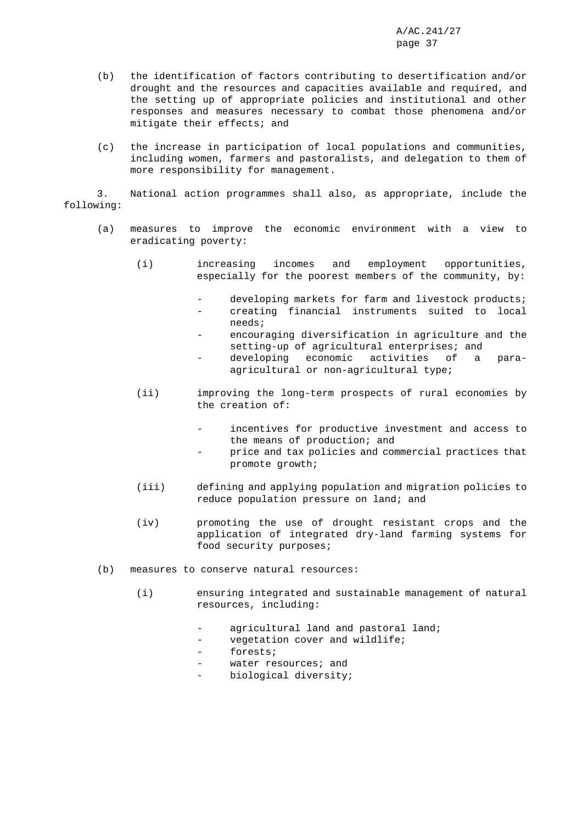- (b) the identification of factors contributing to desertification and/or drought and the resources and capacities available and required, and the setting up of appropriate policies and institutional and other responses and measures necessary to combat those phenomena and/or mitigate their effects; and
- (c) the increase in participation of local populations and communities, including women, farmers and pastoralists, and delegation to them of more responsibility for management.

3. National action programmes shall also, as appropriate, include the following:

- (a) measures to improve the economic environment with a view to eradicating poverty:
	- (i) increasing incomes and employment opportunities, especially for the poorest members of the community, by:
		- developing markets for farm and livestock products;
		- creating financial instruments suited to local needs;
		- encouraging diversification in agriculture and the setting-up of agricultural enterprises; and
		- developing economic activities of a paraagricultural or non-agricultural type;
	- (ii) improving the long-term prospects of rural economies by the creation of:
		- incentives for productive investment and access to the means of production; and
		- price and tax policies and commercial practices that promote growth;
	- (iii) defining and applying population and migration policies to reduce population pressure on land; and
	- (iv) promoting the use of drought resistant crops and the application of integrated dry-land farming systems for food security purposes;
- (b) measures to conserve natural resources:
	- (i) ensuring integrated and sustainable management of natural resources, including:
		- agricultural land and pastoral land;
		- vegetation cover and wildlife;
		- forests;
		- water resources; and
		- biological diversity;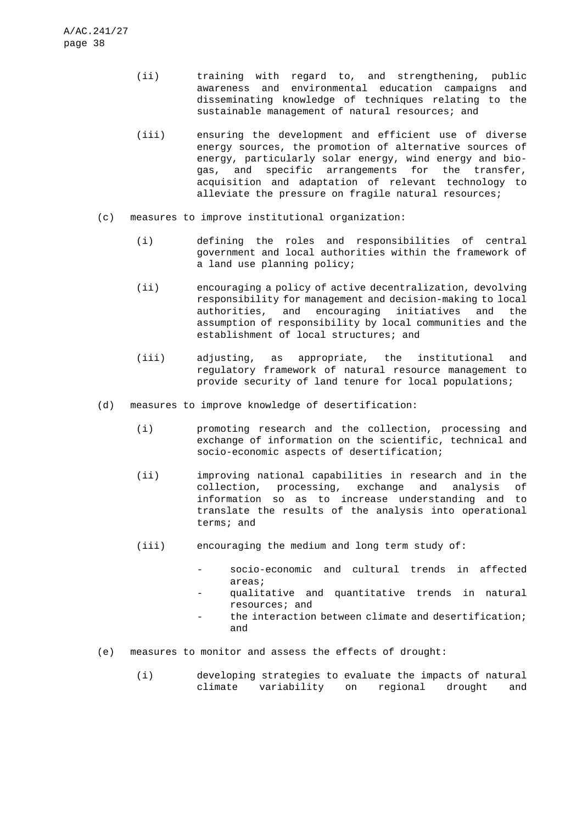- (ii) training with regard to, and strengthening, public awareness and environmental education campaigns and disseminating knowledge of techniques relating to the sustainable management of natural resources; and
- (iii) ensuring the development and efficient use of diverse energy sources, the promotion of alternative sources of energy, particularly solar energy, wind energy and biogas, and specific arrangements for the transfer, acquisition and adaptation of relevant technology to alleviate the pressure on fragile natural resources;
- (c) measures to improve institutional organization:
	- (i) defining the roles and responsibilities of central government and local authorities within the framework of a land use planning policy;
	- (ii) encouraging a policy of active decentralization, devolving responsibility for management and decision-making to local authorities, and encouraging initiatives and the assumption of responsibility by local communities and the establishment of local structures; and
	- (iii) adjusting, as appropriate, the institutional and regulatory framework of natural resource management to provide security of land tenure for local populations;
- (d) measures to improve knowledge of desertification:
	- (i) promoting research and the collection, processing and exchange of information on the scientific, technical and socio-economic aspects of desertification;
	- (ii) improving national capabilities in research and in the collection, processing, exchange and analysis of information so as to increase understanding and to translate the results of the analysis into operational terms; and
	- (iii) encouraging the medium and long term study of:
		- socio-economic and cultural trends in affected areas;
		- qualitative and quantitative trends in natural resources; and
		- the interaction between climate and desertification; and
- (e) measures to monitor and assess the effects of drought:
	- (i) developing strategies to evaluate the impacts of natural climate variability on regional drought and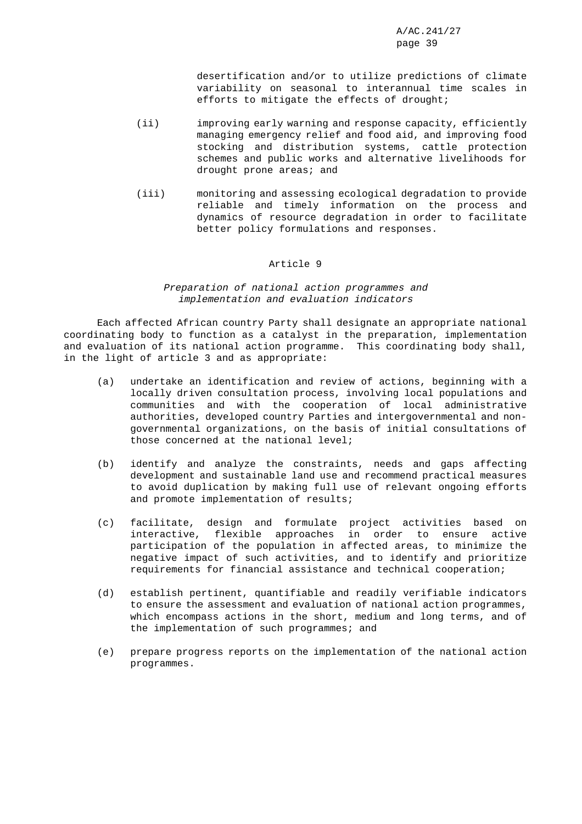desertification and/or to utilize predictions of climate variability on seasonal to interannual time scales in efforts to mitigate the effects of drought;

- (ii) improving early warning and response capacity, efficiently managing emergency relief and food aid, and improving food stocking and distribution systems, cattle protection schemes and public works and alternative livelihoods for drought prone areas; and
- (iii) monitoring and assessing ecological degradation to provide reliable and timely information on the process and dynamics of resource degradation in order to facilitate better policy formulations and responses.

# Article 9

# Preparation of national action programmes and implementation and evaluation indicators

Each affected African country Party shall designate an appropriate national coordinating body to function as a catalyst in the preparation, implementation and evaluation of its national action programme. This coordinating body shall, in the light of article 3 and as appropriate:

- (a) undertake an identification and review of actions, beginning with a locally driven consultation process, involving local populations and communities and with the cooperation of local administrative authorities, developed country Parties and intergovernmental and nongovernmental organizations, on the basis of initial consultations of those concerned at the national level;
- (b) identify and analyze the constraints, needs and gaps affecting development and sustainable land use and recommend practical measures to avoid duplication by making full use of relevant ongoing efforts and promote implementation of results;
- (c) facilitate, design and formulate project activities based on interactive, flexible approaches in order to ensure active participation of the population in affected areas, to minimize the negative impact of such activities, and to identify and prioritize requirements for financial assistance and technical cooperation;
- (d) establish pertinent, quantifiable and readily verifiable indicators to ensure the assessment and evaluation of national action programmes, which encompass actions in the short, medium and long terms, and of the implementation of such programmes; and
- (e) prepare progress reports on the implementation of the national action programmes.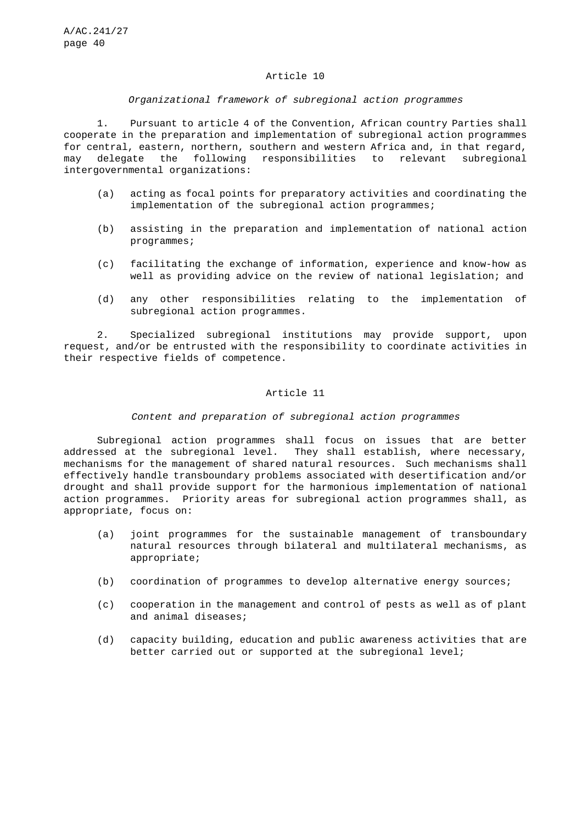### Organizational framework of subregional action programmes

1. Pursuant to article 4 of the Convention, African country Parties shall cooperate in the preparation and implementation of subregional action programmes for central, eastern, northern, southern and western Africa and, in that regard, may delegate the following responsibilities to relevant subregional intergovernmental organizations:

- (a) acting as focal points for preparatory activities and coordinating the implementation of the subregional action programmes;
- (b) assisting in the preparation and implementation of national action programmes;
- (c) facilitating the exchange of information, experience and know-how as well as providing advice on the review of national legislation; and
- (d) any other responsibilities relating to the implementation of subregional action programmes.

2. Specialized subregional institutions may provide support, upon request, and/or be entrusted with the responsibility to coordinate activities in their respective fields of competence.

### Article 11

# Content and preparation of subregional action programmes

Subregional action programmes shall focus on issues that are better addressed at the subregional level. They shall establish, where necessary, mechanisms for the management of shared natural resources. Such mechanisms shall effectively handle transboundary problems associated with desertification and/or drought and shall provide support for the harmonious implementation of national action programmes. Priority areas for subregional action programmes shall, as appropriate, focus on:

- (a) joint programmes for the sustainable management of transboundary natural resources through bilateral and multilateral mechanisms, as appropriate;
- (b) coordination of programmes to develop alternative energy sources;
- (c) cooperation in the management and control of pests as well as of plant and animal diseases;
- (d) capacity building, education and public awareness activities that are better carried out or supported at the subregional level;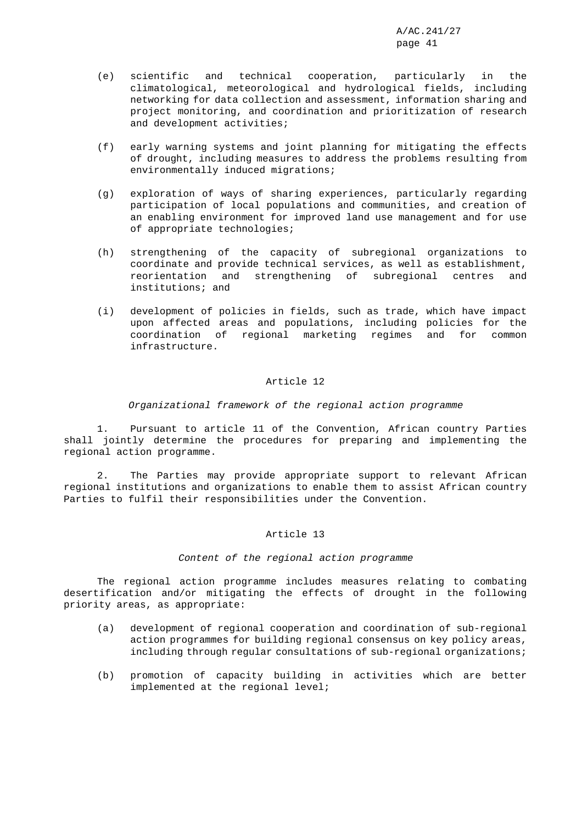- (e) scientific and technical cooperation, particularly in the climatological, meteorological and hydrological fields, including networking for data collection and assessment, information sharing and project monitoring, and coordination and prioritization of research and development activities;
- (f) early warning systems and joint planning for mitigating the effects of drought, including measures to address the problems resulting from environmentally induced migrations;
- (g) exploration of ways of sharing experiences, particularly regarding participation of local populations and communities, and creation of an enabling environment for improved land use management and for use of appropriate technologies;
- (h) strengthening of the capacity of subregional organizations to coordinate and provide technical services, as well as establishment, reorientation and strengthening of subregional centres and institutions; and
- (i) development of policies in fields, such as trade, which have impact upon affected areas and populations, including policies for the coordination of regional marketing regimes and for common infrastructure.

# Organizational framework of the regional action programme

1. Pursuant to article 11 of the Convention, African country Parties shall jointly determine the procedures for preparing and implementing the regional action programme.

2. The Parties may provide appropriate support to relevant African regional institutions and organizations to enable them to assist African country Parties to fulfil their responsibilities under the Convention.

# Article 13

# Content of the regional action programme

The regional action programme includes measures relating to combating desertification and/or mitigating the effects of drought in the following priority areas, as appropriate:

- (a) development of regional cooperation and coordination of sub-regional action programmes for building regional consensus on key policy areas, including through regular consultations of sub-regional organizations;
- (b) promotion of capacity building in activities which are better implemented at the regional level;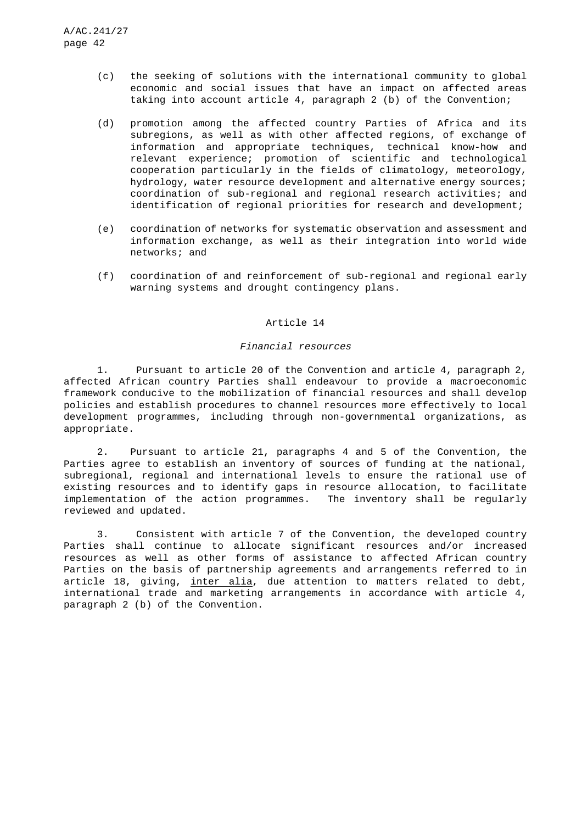- (c) the seeking of solutions with the international community to global economic and social issues that have an impact on affected areas taking into account article 4, paragraph 2 (b) of the Convention;
- (d) promotion among the affected country Parties of Africa and its subregions, as well as with other affected regions, of exchange of information and appropriate techniques, technical know-how and relevant experience; promotion of scientific and technological cooperation particularly in the fields of climatology, meteorology, hydrology, water resource development and alternative energy sources; coordination of sub-regional and regional research activities; and identification of regional priorities for research and development;
- (e) coordination of networks for systematic observation and assessment and information exchange, as well as their integration into world wide networks; and
- (f) coordination of and reinforcement of sub-regional and regional early warning systems and drought contingency plans.

# Financial resources

1. Pursuant to article 20 of the Convention and article 4, paragraph 2, affected African country Parties shall endeavour to provide a macroeconomic framework conducive to the mobilization of financial resources and shall develop policies and establish procedures to channel resources more effectively to local development programmes, including through non-governmental organizations, as appropriate.

2. Pursuant to article 21, paragraphs 4 and 5 of the Convention, the Parties agree to establish an inventory of sources of funding at the national, subregional, regional and international levels to ensure the rational use of existing resources and to identify gaps in resource allocation, to facilitate implementation of the action programmes. The inventory shall be regularly reviewed and updated.

3. Consistent with article 7 of the Convention, the developed country Parties shall continue to allocate significant resources and/or increased resources as well as other forms of assistance to affected African country Parties on the basis of partnership agreements and arrangements referred to in article 18, giving, inter alia, due attention to matters related to debt, international trade and marketing arrangements in accordance with article 4, paragraph 2 (b) of the Convention.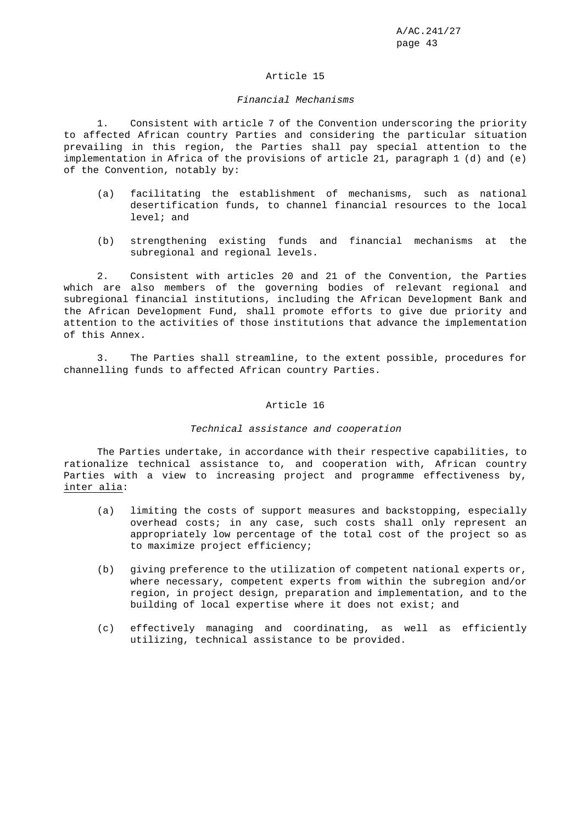### Financial Mechanisms

1. Consistent with article 7 of the Convention underscoring the priority to affected African country Parties and considering the particular situation prevailing in this region, the Parties shall pay special attention to the implementation in Africa of the provisions of article 21, paragraph 1 (d) and (e) of the Convention, notably by:

- (a) facilitating the establishment of mechanisms, such as national desertification funds, to channel financial resources to the local level; and
- (b) strengthening existing funds and financial mechanisms at the subregional and regional levels.

2. Consistent with articles 20 and 21 of the Convention, the Parties which are also members of the governing bodies of relevant regional and subregional financial institutions, including the African Development Bank and the African Development Fund, shall promote efforts to give due priority and attention to the activities of those institutions that advance the implementation of this Annex.

3. The Parties shall streamline, to the extent possible, procedures for channelling funds to affected African country Parties.

### Article 16

# Technical assistance and cooperation

The Parties undertake, in accordance with their respective capabilities, to rationalize technical assistance to, and cooperation with, African country Parties with a view to increasing project and programme effectiveness by, inter alia:

- (a) limiting the costs of support measures and backstopping, especially overhead costs; in any case, such costs shall only represent an appropriately low percentage of the total cost of the project so as to maximize project efficiency;
- (b) giving preference to the utilization of competent national experts or, where necessary, competent experts from within the subregion and/or region, in project design, preparation and implementation, and to the building of local expertise where it does not exist; and
- (c) effectively managing and coordinating, as well as efficiently utilizing, technical assistance to be provided.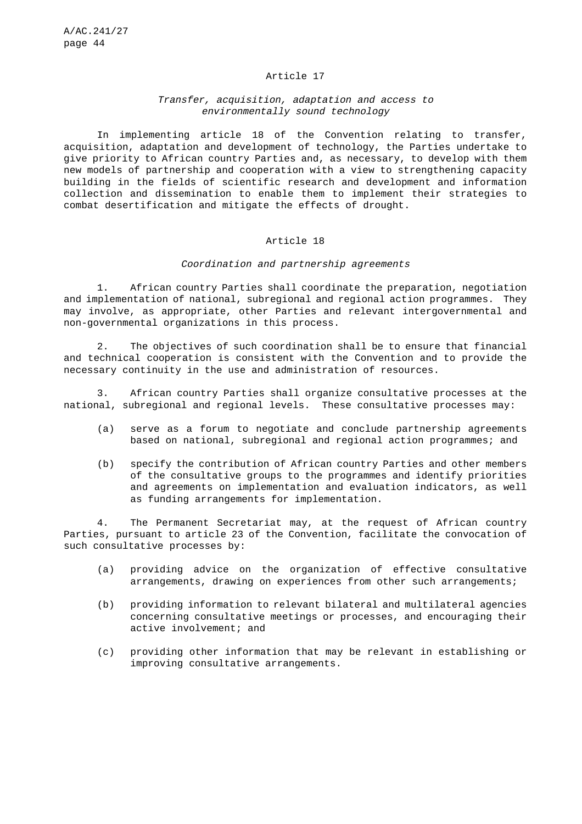# Transfer, acquisition, adaptation and access to environmentally sound technology

In implementing article 18 of the Convention relating to transfer, acquisition, adaptation and development of technology, the Parties undertake to give priority to African country Parties and, as necessary, to develop with them new models of partnership and cooperation with a view to strengthening capacity building in the fields of scientific research and development and information collection and dissemination to enable them to implement their strategies to combat desertification and mitigate the effects of drought.

# Article 18

# Coordination and partnership agreements

1. African country Parties shall coordinate the preparation, negotiation and implementation of national, subregional and regional action programmes. They may involve, as appropriate, other Parties and relevant intergovernmental and non-governmental organizations in this process.

2. The objectives of such coordination shall be to ensure that financial and technical cooperation is consistent with the Convention and to provide the necessary continuity in the use and administration of resources.

3. African country Parties shall organize consultative processes at the national, subregional and regional levels. These consultative processes may:

- (a) serve as a forum to negotiate and conclude partnership agreements based on national, subregional and regional action programmes; and
- (b) specify the contribution of African country Parties and other members of the consultative groups to the programmes and identify priorities and agreements on implementation and evaluation indicators, as well as funding arrangements for implementation.

4. The Permanent Secretariat may, at the request of African country Parties, pursuant to article 23 of the Convention, facilitate the convocation of such consultative processes by:

- (a) providing advice on the organization of effective consultative arrangements, drawing on experiences from other such arrangements;
- (b) providing information to relevant bilateral and multilateral agencies concerning consultative meetings or processes, and encouraging their active involvement; and
- (c) providing other information that may be relevant in establishing or improving consultative arrangements.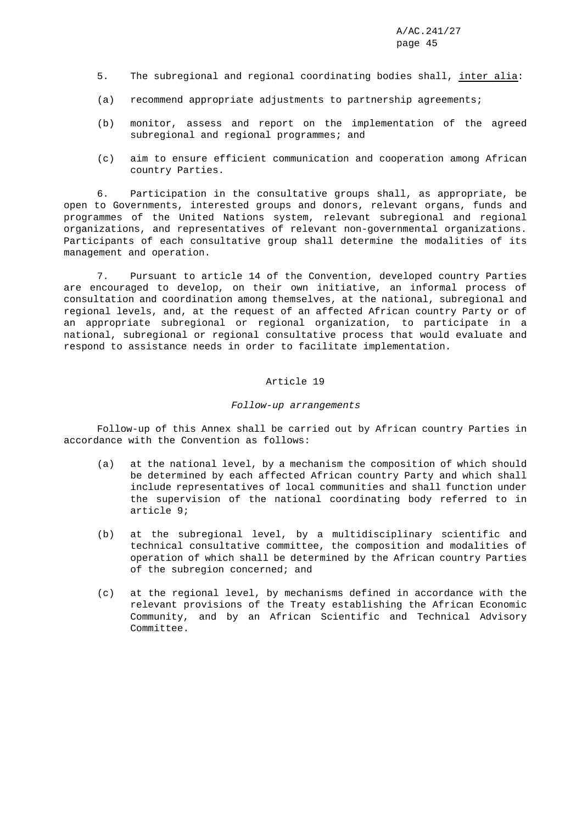- 5. The subregional and regional coordinating bodies shall, inter alia:
- (a) recommend appropriate adjustments to partnership agreements;
- (b) monitor, assess and report on the implementation of the agreed subregional and regional programmes; and
- (c) aim to ensure efficient communication and cooperation among African country Parties.

6. Participation in the consultative groups shall, as appropriate, be open to Governments, interested groups and donors, relevant organs, funds and programmes of the United Nations system, relevant subregional and regional organizations, and representatives of relevant non-governmental organizations. Participants of each consultative group shall determine the modalities of its management and operation.

7. Pursuant to article 14 of the Convention, developed country Parties are encouraged to develop, on their own initiative, an informal process of consultation and coordination among themselves, at the national, subregional and regional levels, and, at the request of an affected African country Party or of an appropriate subregional or regional organization, to participate in a national, subregional or regional consultative process that would evaluate and respond to assistance needs in order to facilitate implementation.

# Article 19

#### Follow-up arrangements

Follow-up of this Annex shall be carried out by African country Parties in accordance with the Convention as follows:

- (a) at the national level, by a mechanism the composition of which should be determined by each affected African country Party and which shall include representatives of local communities and shall function under the supervision of the national coordinating body referred to in article 9;
- (b) at the subregional level, by a multidisciplinary scientific and technical consultative committee, the composition and modalities of operation of which shall be determined by the African country Parties of the subregion concerned; and
- (c) at the regional level, by mechanisms defined in accordance with the relevant provisions of the Treaty establishing the African Economic Community, and by an African Scientific and Technical Advisory Committee.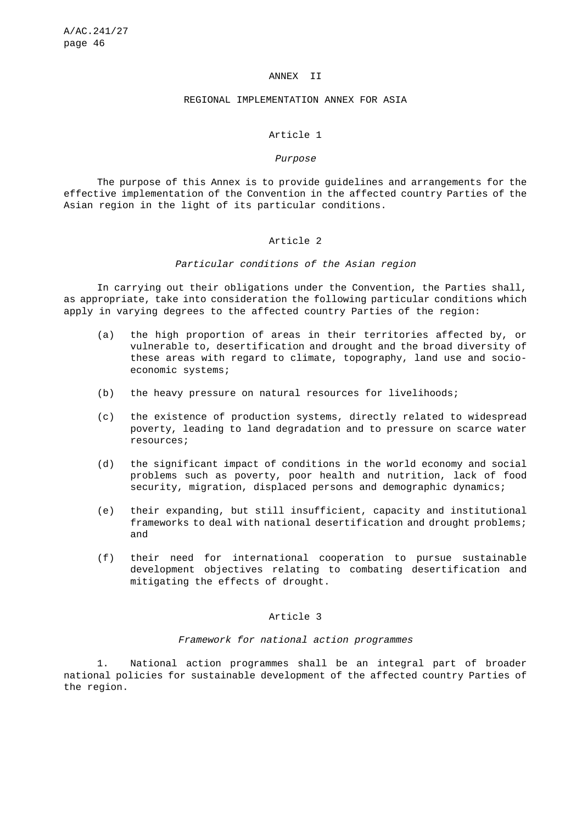### ANNEX II

#### REGIONAL IMPLEMENTATION ANNEX FOR ASIA

# Article 1

### Purpose

The purpose of this Annex is to provide guidelines and arrangements for the effective implementation of the Convention in the affected country Parties of the Asian region in the light of its particular conditions.

### Article 2

### Particular conditions of the Asian region

In carrying out their obligations under the Convention, the Parties shall, as appropriate, take into consideration the following particular conditions which apply in varying degrees to the affected country Parties of the region:

- (a) the high proportion of areas in their territories affected by, or vulnerable to, desertification and drought and the broad diversity of these areas with regard to climate, topography, land use and socioeconomic systems;
- (b) the heavy pressure on natural resources for livelihoods;
- (c) the existence of production systems, directly related to widespread poverty, leading to land degradation and to pressure on scarce water resources;
- (d) the significant impact of conditions in the world economy and social problems such as poverty, poor health and nutrition, lack of food security, migration, displaced persons and demographic dynamics;
- (e) their expanding, but still insufficient, capacity and institutional frameworks to deal with national desertification and drought problems; and
- (f) their need for international cooperation to pursue sustainable development objectives relating to combating desertification and mitigating the effects of drought.

# Article 3

# Framework for national action programmes

National action programmes shall be an integral part of broader national policies for sustainable development of the affected country Parties of the region.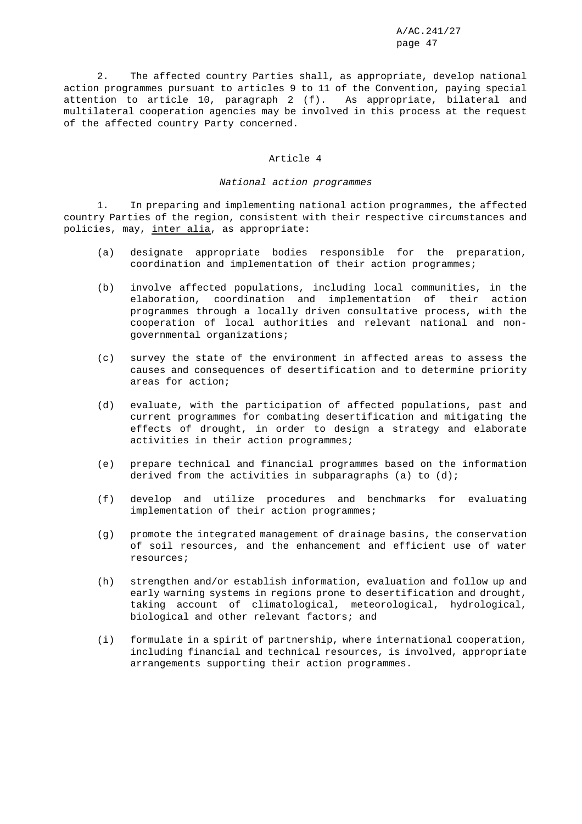2. The affected country Parties shall, as appropriate, develop national action programmes pursuant to articles 9 to 11 of the Convention, paying special attention to article 10, paragraph 2 (f). As appropriate, bilateral and multilateral cooperation agencies may be involved in this process at the request of the affected country Party concerned.

# Article 4

# National action programmes

1. In preparing and implementing national action programmes, the affected country Parties of the region, consistent with their respective circumstances and policies, may, inter alia, as appropriate:

- (a) designate appropriate bodies responsible for the preparation, coordination and implementation of their action programmes;
- (b) involve affected populations, including local communities, in the elaboration, coordination and implementation of their action programmes through a locally driven consultative process, with the cooperation of local authorities and relevant national and nongovernmental organizations;
- (c) survey the state of the environment in affected areas to assess the causes and consequences of desertification and to determine priority areas for action;
- (d) evaluate, with the participation of affected populations, past and current programmes for combating desertification and mitigating the effects of drought, in order to design a strategy and elaborate activities in their action programmes;
- (e) prepare technical and financial programmes based on the information derived from the activities in subparagraphs (a) to (d);
- (f) develop and utilize procedures and benchmarks for evaluating implementation of their action programmes;
- (g) promote the integrated management of drainage basins, the conservation of soil resources, and the enhancement and efficient use of water resources;
- (h) strengthen and/or establish information, evaluation and follow up and early warning systems in regions prone to desertification and drought, taking account of climatological, meteorological, hydrological, biological and other relevant factors; and
- (i) formulate in a spirit of partnership, where international cooperation, including financial and technical resources, is involved, appropriate arrangements supporting their action programmes.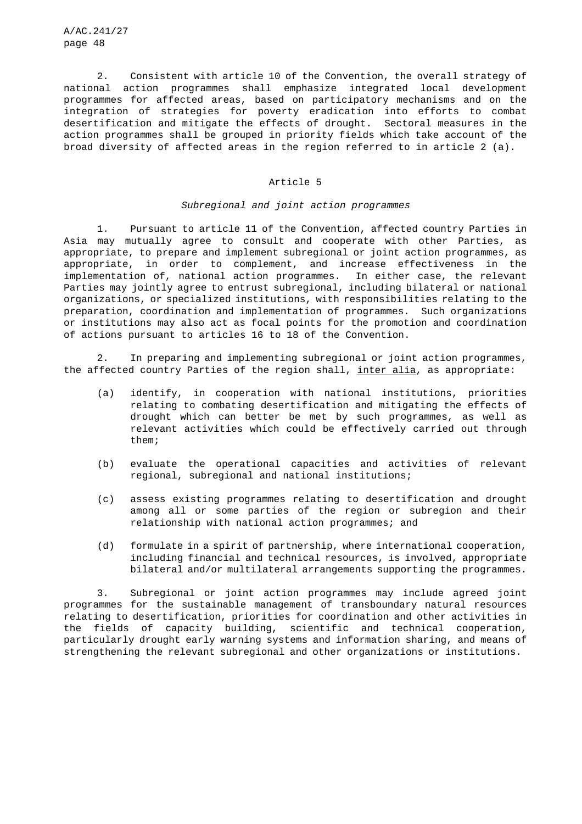2. Consistent with article 10 of the Convention, the overall strategy of national action programmes shall emphasize integrated local development programmes for affected areas, based on participatory mechanisms and on the integration of strategies for poverty eradication into efforts to combat desertification and mitigate the effects of drought. Sectoral measures in the action programmes shall be grouped in priority fields which take account of the broad diversity of affected areas in the region referred to in article 2 (a).

### Article 5

### Subregional and joint action programmes

1. Pursuant to article 11 of the Convention, affected country Parties in Asia may mutually agree to consult and cooperate with other Parties, as appropriate, to prepare and implement subregional or joint action programmes, as appropriate, in order to complement, and increase effectiveness in the implementation of, national action programmes. In either case, the relevant Parties may jointly agree to entrust subregional, including bilateral or national organizations, or specialized institutions, with responsibilities relating to the preparation, coordination and implementation of programmes. Such organizations or institutions may also act as focal points for the promotion and coordination of actions pursuant to articles 16 to 18 of the Convention.

2. In preparing and implementing subregional or joint action programmes, the affected country Parties of the region shall, inter alia, as appropriate:

- (a) identify, in cooperation with national institutions, priorities relating to combating desertification and mitigating the effects of drought which can better be met by such programmes, as well as relevant activities which could be effectively carried out through them;
- (b) evaluate the operational capacities and activities of relevant regional, subregional and national institutions;
- (c) assess existing programmes relating to desertification and drought among all or some parties of the region or subregion and their relationship with national action programmes; and
- (d) formulate in a spirit of partnership, where international cooperation, including financial and technical resources, is involved, appropriate bilateral and/or multilateral arrangements supporting the programmes.

3. Subregional or joint action programmes may include agreed joint programmes for the sustainable management of transboundary natural resources relating to desertification, priorities for coordination and other activities in the fields of capacity building, scientific and technical cooperation, particularly drought early warning systems and information sharing, and means of strengthening the relevant subregional and other organizations or institutions.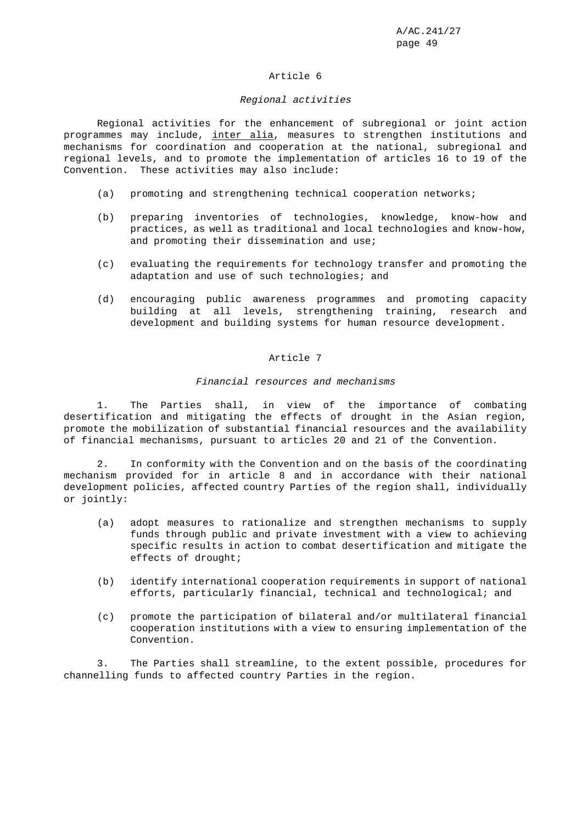### Regional activities

Regional activities for the enhancement of subregional or joint action programmes may include, inter alia, measures to strengthen institutions and mechanisms for coordination and cooperation at the national, subregional and regional levels, and to promote the implementation of articles 16 to 19 of the Convention. These activities may also include:

- (a) promoting and strengthening technical cooperation networks;
- (b) preparing inventories of technologies, knowledge, know-how and practices, as well as traditional and local technologies and know-how, and promoting their dissemination and use;
- (c) evaluating the requirements for technology transfer and promoting the adaptation and use of such technologies; and
- (d) encouraging public awareness programmes and promoting capacity building at all levels, strengthening training, research and development and building systems for human resource development.

# Article 7

### Financial resources and mechanisms

1. The Parties shall, in view of the importance of combating desertification and mitigating the effects of drought in the Asian region, promote the mobilization of substantial financial resources and the availability of financial mechanisms, pursuant to articles 20 and 21 of the Convention.

2. In conformity with the Convention and on the basis of the coordinating mechanism provided for in article 8 and in accordance with their national development policies, affected country Parties of the region shall, individually or jointly:

- (a) adopt measures to rationalize and strengthen mechanisms to supply funds through public and private investment with a view to achieving specific results in action to combat desertification and mitigate the effects of drought;
- (b) identify international cooperation requirements in support of national efforts, particularly financial, technical and technological; and
- (c) promote the participation of bilateral and/or multilateral financial cooperation institutions with a view to ensuring implementation of the Convention.

3. The Parties shall streamline, to the extent possible, procedures for channelling funds to affected country Parties in the region.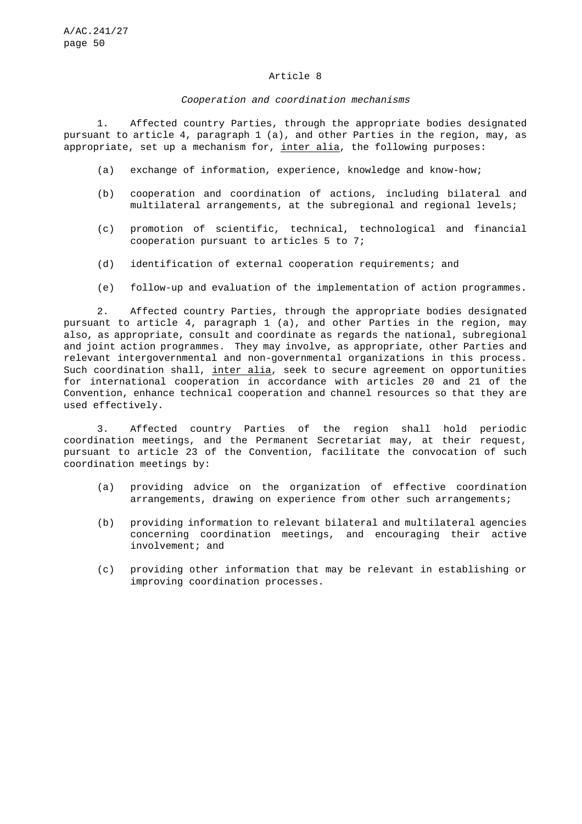### Cooperation and coordination mechanisms

1. Affected country Parties, through the appropriate bodies designated pursuant to article 4, paragraph 1 (a), and other Parties in the region, may, as appropriate, set up a mechanism for, inter alia, the following purposes:

- (a) exchange of information, experience, knowledge and know-how;
- (b) cooperation and coordination of actions, including bilateral and multilateral arrangements, at the subregional and regional levels;
- (c) promotion of scientific, technical, technological and financial cooperation pursuant to articles 5 to 7;
- (d) identification of external cooperation requirements; and
- (e) follow-up and evaluation of the implementation of action programmes.

2. Affected country Parties, through the appropriate bodies designated pursuant to article 4, paragraph 1 (a), and other Parties in the region, may also, as appropriate, consult and coordinate as regards the national, subregional and joint action programmes. They may involve, as appropriate, other Parties and relevant intergovernmental and non-governmental organizations in this process. Such coordination shall, inter alia, seek to secure agreement on opportunities for international cooperation in accordance with articles 20 and 21 of the Convention, enhance technical cooperation and channel resources so that they are used effectively.

3. Affected country Parties of the region shall hold periodic coordination meetings, and the Permanent Secretariat may, at their request, pursuant to article 23 of the Convention, facilitate the convocation of such coordination meetings by:

- (a) providing advice on the organization of effective coordination arrangements, drawing on experience from other such arrangements;
- (b) providing information to relevant bilateral and multilateral agencies concerning coordination meetings, and encouraging their active involvement; and
- (c) providing other information that may be relevant in establishing or improving coordination processes.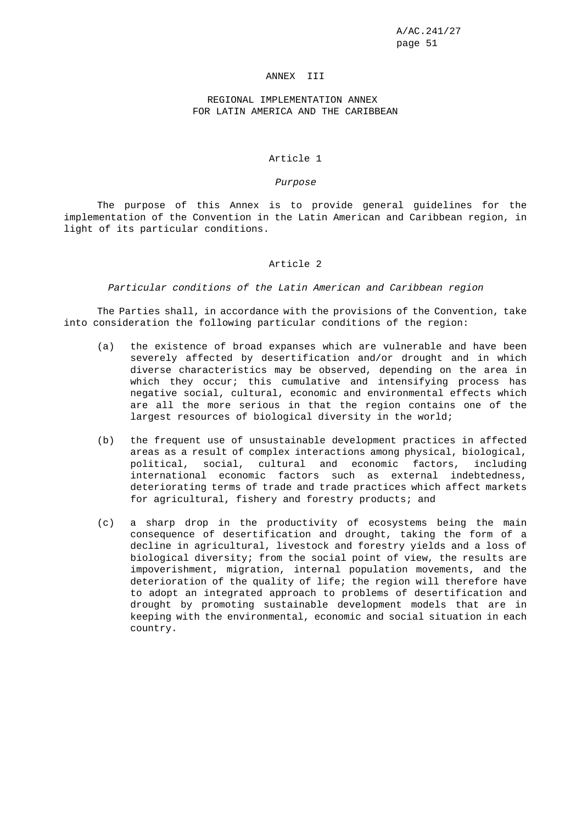# ANNEX III

# REGIONAL IMPLEMENTATION ANNEX FOR LATIN AMERICA AND THE CARIBBEAN

### Article 1

# Purpose

The purpose of this Annex is to provide general guidelines for the implementation of the Convention in the Latin American and Caribbean region, in light of its particular conditions.

# Article 2

Particular conditions of the Latin American and Caribbean region

The Parties shall, in accordance with the provisions of the Convention, take into consideration the following particular conditions of the region:

- (a) the existence of broad expanses which are vulnerable and have been severely affected by desertification and/or drought and in which diverse characteristics may be observed, depending on the area in which they occur; this cumulative and intensifying process has negative social, cultural, economic and environmental effects which are all the more serious in that the region contains one of the largest resources of biological diversity in the world;
- (b) the frequent use of unsustainable development practices in affected areas as a result of complex interactions among physical, biological, political, social, cultural and economic factors, including international economic factors such as external indebtedness, deteriorating terms of trade and trade practices which affect markets for agricultural, fishery and forestry products; and
- (c) a sharp drop in the productivity of ecosystems being the main consequence of desertification and drought, taking the form of a decline in agricultural, livestock and forestry yields and a loss of biological diversity; from the social point of view, the results are impoverishment, migration, internal population movements, and the deterioration of the quality of life; the region will therefore have to adopt an integrated approach to problems of desertification and drought by promoting sustainable development models that are in keeping with the environmental, economic and social situation in each country.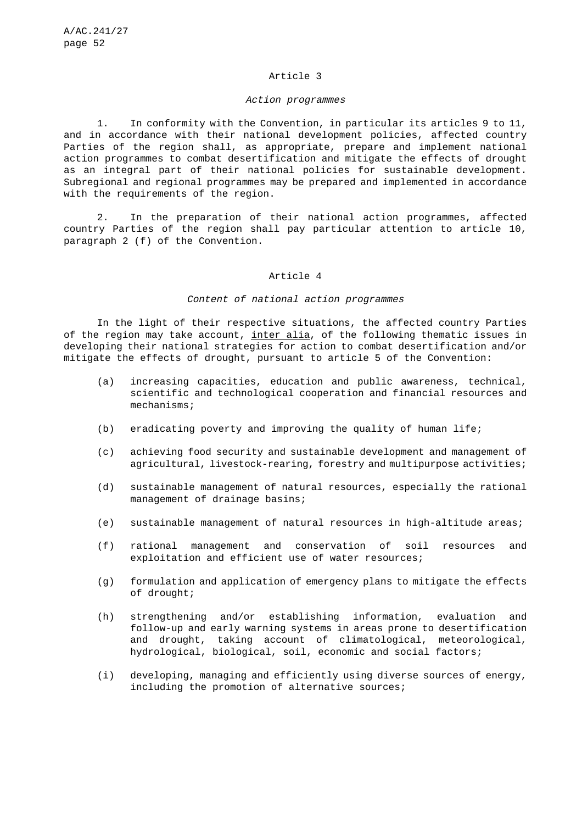#### Action programmes

1. In conformity with the Convention, in particular its articles 9 to 11, and in accordance with their national development policies, affected country Parties of the region shall, as appropriate, prepare and implement national action programmes to combat desertification and mitigate the effects of drought as an integral part of their national policies for sustainable development. Subregional and regional programmes may be prepared and implemented in accordance with the requirements of the region.

2. In the preparation of their national action programmes, affected country Parties of the region shall pay particular attention to article 10, paragraph 2 (f) of the Convention.

# Article 4

### Content of national action programmes

In the light of their respective situations, the affected country Parties of the region may take account, inter alia, of the following thematic issues in developing their national strategies for action to combat desertification and/or mitigate the effects of drought, pursuant to article 5 of the Convention:

- (a) increasing capacities, education and public awareness, technical, scientific and technological cooperation and financial resources and mechanisms;
- (b) eradicating poverty and improving the quality of human life;
- (c) achieving food security and sustainable development and management of agricultural, livestock-rearing, forestry and multipurpose activities;
- (d) sustainable management of natural resources, especially the rational management of drainage basins;
- (e) sustainable management of natural resources in high-altitude areas;
- (f) rational management and conservation of soil resources and exploitation and efficient use of water resources;
- (g) formulation and application of emergency plans to mitigate the effects of drought;
- (h) strengthening and/or establishing information, evaluation and follow-up and early warning systems in areas prone to desertification and drought, taking account of climatological, meteorological, hydrological, biological, soil, economic and social factors;
- (i) developing, managing and efficiently using diverse sources of energy, including the promotion of alternative sources;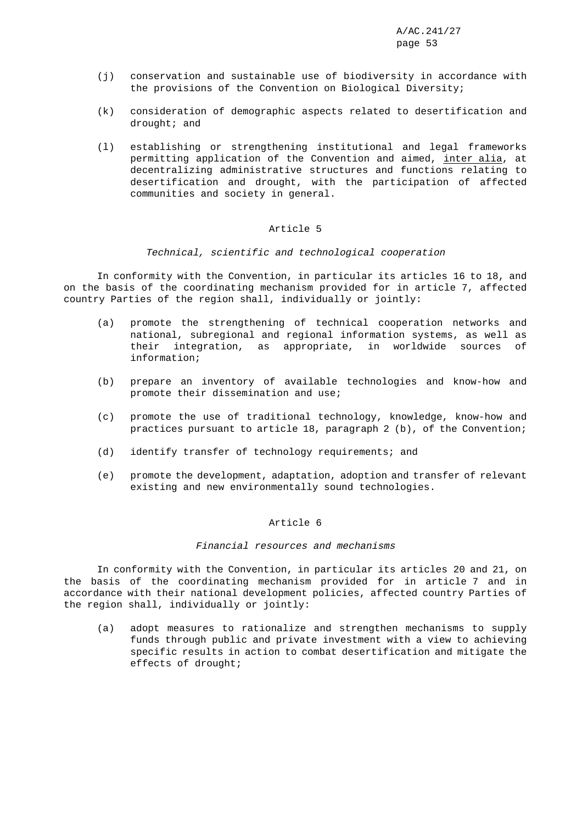- (j) conservation and sustainable use of biodiversity in accordance with the provisions of the Convention on Biological Diversity;
- (k) consideration of demographic aspects related to desertification and drought; and
- (l) establishing or strengthening institutional and legal frameworks permitting application of the Convention and aimed, inter alia, at decentralizing administrative structures and functions relating to desertification and drought, with the participation of affected communities and society in general.

# Technical, scientific and technological cooperation

In conformity with the Convention, in particular its articles 16 to 18, and on the basis of the coordinating mechanism provided for in article 7, affected country Parties of the region shall, individually or jointly:

- (a) promote the strengthening of technical cooperation networks and national, subregional and regional information systems, as well as their integration, as appropriate, in worldwide sources of information;
- (b) prepare an inventory of available technologies and know-how and promote their dissemination and use;
- (c) promote the use of traditional technology, knowledge, know-how and practices pursuant to article 18, paragraph 2 (b), of the Convention;
- (d) identify transfer of technology requirements; and
- (e) promote the development, adaptation, adoption and transfer of relevant existing and new environmentally sound technologies.

### Article 6

### Financial resources and mechanisms

In conformity with the Convention, in particular its articles 20 and 21, on the basis of the coordinating mechanism provided for in article 7 and in accordance with their national development policies, affected country Parties of the region shall, individually or jointly:

(a) adopt measures to rationalize and strengthen mechanisms to supply funds through public and private investment with a view to achieving specific results in action to combat desertification and mitigate the effects of drought;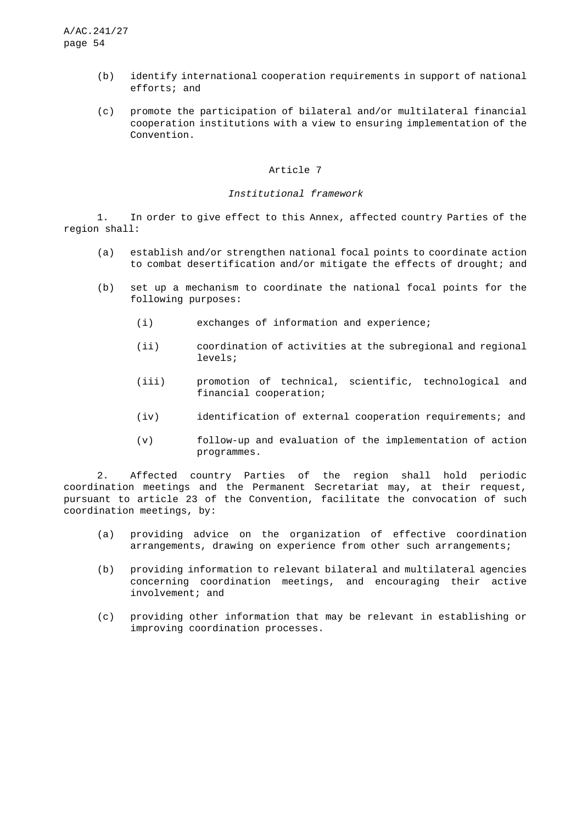- (b) identify international cooperation requirements in support of national efforts; and
- (c) promote the participation of bilateral and/or multilateral financial cooperation institutions with a view to ensuring implementation of the Convention.

### Institutional framework

1. In order to give effect to this Annex, affected country Parties of the region shall:

- (a) establish and/or strengthen national focal points to coordinate action to combat desertification and/or mitigate the effects of drought; and
- (b) set up a mechanism to coordinate the national focal points for the following purposes:
	- (i) exchanges of information and experience;
	- (ii) coordination of activities at the subregional and regional levels;
	- (iii) promotion of technical, scientific, technological and financial cooperation;
	- (iv) identification of external cooperation requirements; and
	- (v) follow-up and evaluation of the implementation of action programmes.

2. Affected country Parties of the region shall hold periodic coordination meetings and the Permanent Secretariat may, at their request, pursuant to article 23 of the Convention, facilitate the convocation of such coordination meetings, by:

- (a) providing advice on the organization of effective coordination arrangements, drawing on experience from other such arrangements;
- (b) providing information to relevant bilateral and multilateral agencies concerning coordination meetings, and encouraging their active involvement; and
- (c) providing other information that may be relevant in establishing or improving coordination processes.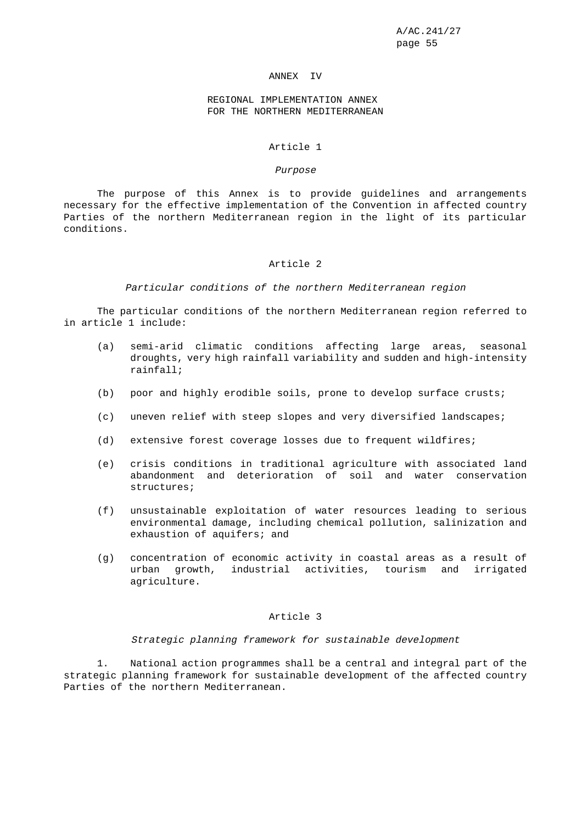# ANNEX IV

# REGIONAL IMPLEMENTATION ANNEX FOR THE NORTHERN MEDITERRANEAN

# Article 1

### Purpose

The purpose of this Annex is to provide guidelines and arrangements necessary for the effective implementation of the Convention in affected country Parties of the northern Mediterranean region in the light of its particular conditions.

# Article 2

Particular conditions of the northern Mediterranean region

The particular conditions of the northern Mediterranean region referred to in article 1 include:

- (a) semi-arid climatic conditions affecting large areas, seasonal droughts, very high rainfall variability and sudden and high-intensity rainfall;
- (b) poor and highly erodible soils, prone to develop surface crusts;
- (c) uneven relief with steep slopes and very diversified landscapes;
- (d) extensive forest coverage losses due to frequent wildfires;
- (e) crisis conditions in traditional agriculture with associated land abandonment and deterioration of soil and water conservation structures;
- (f) unsustainable exploitation of water resources leading to serious environmental damage, including chemical pollution, salinization and exhaustion of aquifers; and
- (g) concentration of economic activity in coastal areas as a result of urban growth, industrial activities, tourism and irrigated agriculture.

# Article 3

#### Strategic planning framework for sustainable development

1. National action programmes shall be a central and integral part of the strategic planning framework for sustainable development of the affected country Parties of the northern Mediterranean.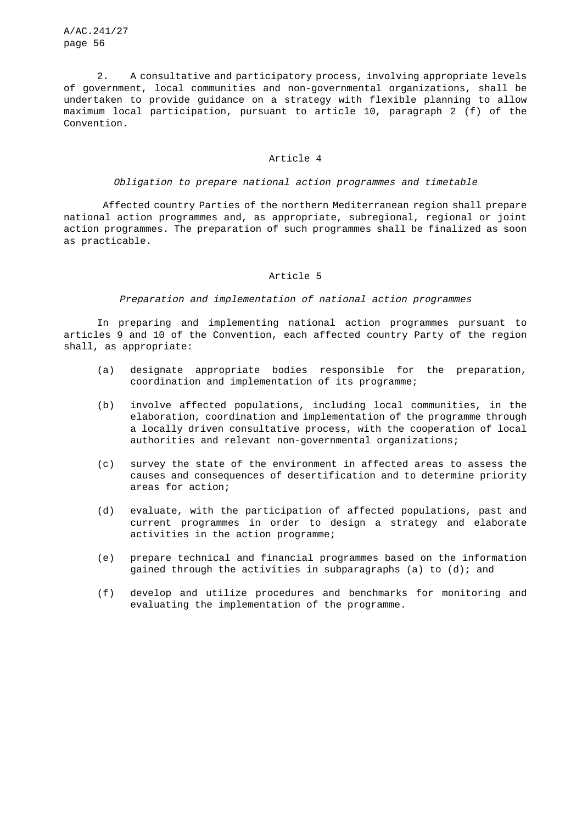2. A consultative and participatory process, involving appropriate levels of government, local communities and non-governmental organizations, shall be undertaken to provide guidance on a strategy with flexible planning to allow maximum local participation, pursuant to article 10, paragraph 2 (f) of the Convention.

### Article 4

### Obligation to prepare national action programmes and timetable

Affected country Parties of the northern Mediterranean region shall prepare national action programmes and, as appropriate, subregional, regional or joint action programmes. The preparation of such programmes shall be finalized as soon as practicable.

# Article 5

Preparation and implementation of national action programmes

In preparing and implementing national action programmes pursuant to articles 9 and 10 of the Convention, each affected country Party of the region shall, as appropriate:

- (a) designate appropriate bodies responsible for the preparation, coordination and implementation of its programme;
- (b) involve affected populations, including local communities, in the elaboration, coordination and implementation of the programme through a locally driven consultative process, with the cooperation of local authorities and relevant non-governmental organizations;
- (c) survey the state of the environment in affected areas to assess the causes and consequences of desertification and to determine priority areas for action;
- (d) evaluate, with the participation of affected populations, past and current programmes in order to design a strategy and elaborate activities in the action programme;
- (e) prepare technical and financial programmes based on the information gained through the activities in subparagraphs (a) to  $(d)$ ; and
- (f) develop and utilize procedures and benchmarks for monitoring and evaluating the implementation of the programme.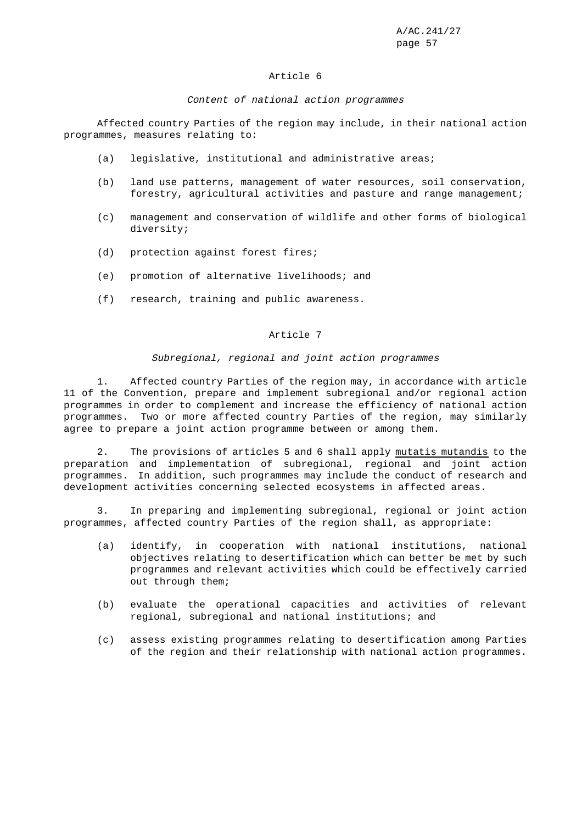### Content of national action programmes

Affected country Parties of the region may include, in their national action programmes, measures relating to:

- (a) legislative, institutional and administrative areas;
- (b) land use patterns, management of water resources, soil conservation, forestry, agricultural activities and pasture and range management;
- (c) management and conservation of wildlife and other forms of biological diversity;
- (d) protection against forest fires;
- (e) promotion of alternative livelihoods; and
- (f) research, training and public awareness.

# Article 7

# Subregional, regional and joint action programmes

1. Affected country Parties of the region may, in accordance with article 11 of the Convention, prepare and implement subregional and/or regional action programmes in order to complement and increase the efficiency of national action programmes. Two or more affected country Parties of the region, may similarly agree to prepare a joint action programme between or among them.

2. The provisions of articles 5 and 6 shall apply mutatis mutandis to the preparation and implementation of subregional, regional and joint action programmes. In addition, such programmes may include the conduct of research and development activities concerning selected ecosystems in affected areas.

3. In preparing and implementing subregional, regional or joint action programmes, affected country Parties of the region shall, as appropriate:

- (a) identify, in cooperation with national institutions, national objectives relating to desertification which can better be met by such programmes and relevant activities which could be effectively carried out through them;
- (b) evaluate the operational capacities and activities of relevant regional, subregional and national institutions; and
- (c) assess existing programmes relating to desertification among Parties of the region and their relationship with national action programmes.